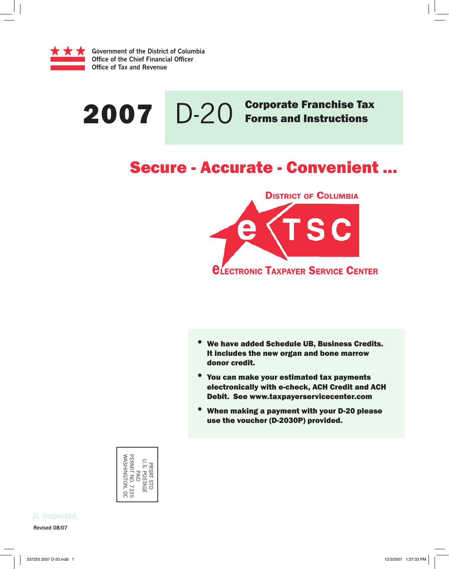

# 2007 D-20 Corporate Franchise Tax

# Secure - Accurate - Convenient ...



- **•** We have added Schedule UB, Business Credits. It includes the new organ and bone marrow donor credit.
- You can make your estimated tax payments electronically with e-check, ACH Credit and ACH Debit. See www.taxpayerservicecenter.com
- **•** When making a payment with your D-20 please use the voucher (D-2030P) provided.

| WASHINGTON,<br>ERMIT<br>Ω.<br>Š<br>PRSRT STD<br><b>POSTAGE</b><br>アコロ<br>$\leq$<br>7335<br>.<br>S |
|---------------------------------------------------------------------------------------------------|
|---------------------------------------------------------------------------------------------------|

**Revised 08/07 JL Inspected**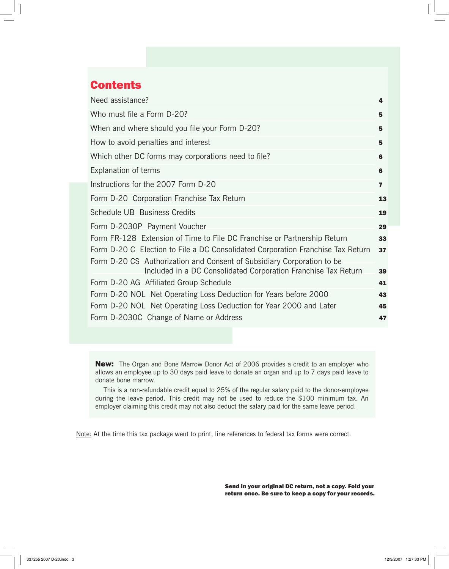# **Contents**

| Need assistance?                                                                                                                         | 4  |
|------------------------------------------------------------------------------------------------------------------------------------------|----|
| Who must file a Form D-20?                                                                                                               | 5  |
| When and where should you file your Form D-20?                                                                                           | 5  |
| How to avoid penalties and interest                                                                                                      | 5  |
| Which other DC forms may corporations need to file?                                                                                      | 6  |
| <b>Explanation of terms</b>                                                                                                              | 6  |
| Instructions for the 2007 Form D-20                                                                                                      | 7  |
| Form D-20 Corporation Franchise Tax Return                                                                                               | 13 |
| Schedule UB Business Credits                                                                                                             | 19 |
| Form D-2030P Payment Voucher                                                                                                             | 29 |
| Form FR-128 Extension of Time to File DC Franchise or Partnership Return                                                                 | 33 |
| Form D-20 C Election to File a DC Consolidated Corporation Franchise Tax Return                                                          | 37 |
| Form D-20 CS Authorization and Consent of Subsidiary Corporation to be<br>Included in a DC Consolidated Corporation Franchise Tax Return | 39 |
| Form D-20 AG Affiliated Group Schedule                                                                                                   | 41 |
| Form D-20 NOL Net Operating Loss Deduction for Years before 2000                                                                         | 43 |
| Form D-20 NOL Net Operating Loss Deduction for Year 2000 and Later                                                                       | 45 |
| Form D-2030C Change of Name or Address                                                                                                   | 47 |

New: The Organ and Bone Marrow Donor Act of 2006 provides a credit to an employer who allows an employee up to 30 days paid leave to donate an organ and up to 7 days paid leave to donate bone marrow.

 This is a non-refundable credit equal to 25% of the regular salary paid to the donor-employee during the leave period. This credit may not be used to reduce the \$100 minimum tax. An employer claiming this credit may not also deduct the salary paid for the same leave period.

Note: At the time this tax package went to print, line references to federal tax forms were correct.

Send in your original DC return, not a copy. Fold your return once. Be sure to keep a copy for your records.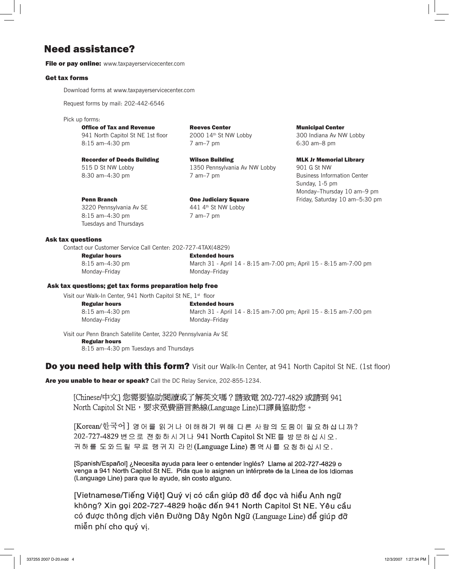# Need assistance?

File or pay online: www.taxpayerservicecenter.com

#### Get tax forms

Download forms at www.taxpayerservicecenter.com

Request forms by mail: 202-442-6546

Pick up forms:

941 North Capitol St NE 1st floor 8:15 am–4:30 pm 7 am–7 pm 6:30 am–8 pm

Recorder of Deeds Building **Wilson Building MLK Jr Memorial Library** 515 D St NW Lobby 1350 Pennsylvania Av NW Lobby 901 G St NW 8:30 am–4:30 pm 7 am–7 pm Business Information Center

**Office of Tax and Revenue Reeves Center Center Municipal Center Municipal Center 941** North Capitol St NE 1st floor 2000 14<sup>th</sup> St NW Lobby 300 Indiana Av NW Lobby

 Sunday, 1-5 pm Monday–Thursday 10 am–9 pm **Penn Branch Cone Judiciary Square** Friday, Saturday 10 am–5:30 pm

3220 Pennsylvania Av SE 441 4th St NW Lobby 8:15 am–4:30 pm 7 am–7 pm Tuesdays and Thursdays

### Ask tax questions

Contact our Customer Service Call Center: 202-727-4TAX(4829)

 Regular hours Extended hours Monday–Friday Monday–Friday

8:15 am–4:30 pm March 31 - April 14 - 8:15 am-7:00 pm; April 15 - 8:15 am-7:00 pm

#### Ask tax questions; get tax forms preparation help free

Visit our Walk-In Center, 941 North Capitol St NE, 1<sup>st</sup> floor

Monday–Friday Monday–Friday

**Regular hours**<br>8:15 am-4:30 pm<br>**Regular hours** March 31 - April March 31 - April 14 - 8:15 am-7:00 pm; April 15 - 8:15 am-7:00 pm

Visit our Penn Branch Satellite Center, 3220 Pennsylvania Av SE Regular hours 8:15 am–4:30 pm Tuesdays and Thursdays

# **Do you need help with this form?** Visit our Walk-In Center, at 941 North Capitol St NE. (1st floor)

Are you unable to hear or speak? Call the DC Relay Service, 202-855-1234.

[Chinese/中文] 您需要協助閱讀或了解英文嗎? 請致電 202-727-4829 或請到 941 North Capitol St NE, 要求免費語言熱線(Language Line)口譯員協助您。

[Korean/한국어] 영어를 읽거나 이해하기 위해 다른 사람의 도움이 필요하십니까? 202-727-4829 번 으로 전화하시거나 941 North Capitol St NE 를 방문하십시오. 귀하를 도와드릴 무료 랭귀지 라인(Language Line) 통역사를 요청하십시오.

[Spanish/Español] ¿Necesita ayuda para leer o entender inglés? Llame al 202-727-4829 o venga a 941 North Capitol St NE. Pida que le asignen un intérprete de la Línea de los Idiomas (Language Line) para que le ayude, sin costo alguno.

[Vietnamese/Tiếng Việt] Quý vị có cần giúp đỡ để đọc và hiểu Anh ngữ không? Xin gọi 202-727-4829 hoặc đến 941 North Capitol St NE. Yêu cầu có được thông dịch viên Đường Dây Ngôn Ngữ (Language Line) để giúp đỡ miễn phí cho quý vị.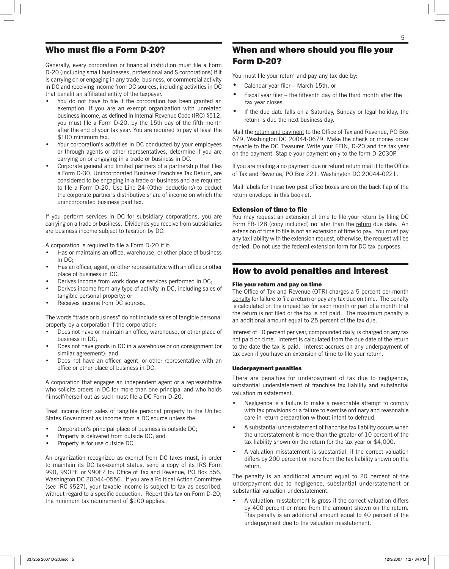# Who must file a Form D-20?

Generally, every corporation or financial institution must file a Form D-20 (including small businesses, professional and S corporations) if it is carrying on or engaging in any trade, business, or commercial activity in DC and receiving income from DC sources, including activities in DC that benefit an affiliated entity of the taxpayer.

- You do not have to file if the corporation has been granted an exemption. If you are an exempt organization with unrelated business income, as defined in Internal Revenue Code (IRC) §512, you must file a Form D-20, by the 15th day of the fifth month after the end of your tax year. You are required to pay at least the \$100 minimum tax.
- Your corporation's activities in DC conducted by your employees or through agents or other representatives, determine if you are carrying on or engaging in a trade or business in DC.
- Corporate general and limited partners of a partnership that files a Form D-30, Unincorporated Business Franchise Tax Return, are considered to be engaging in a trade or business and are required to file a Form D-20. Use Line 24 (Other deductions) to deduct the corporate partner's distributive share of income on which the unincorporated business paid tax.

If you perform services in DC for subsidiary corporations, you are carrying on a trade or business. Dividends you receive from subsidiaries are business income subject to taxation by DC.

A corporation is required to file a Form D-20 if it:

- Has or maintains an office, warehouse, or other place of business in DC;
- Has an officer, agent, or other representative with an office or other place of business in DC;
- Derives income from work done or services performed in DC;
- Derives income from any type of activity in DC, including sales of tangible personal property; or
- Receives income from DC sources.

The words "trade or business" do not include sales of tangible personal property by a corporation if the corporation:

- Does not have or maintain an office, warehouse, or other place of business in DC;
- Does not have goods in DC in a warehouse or on consignment (or similar agreement); and
- Does not have an officer, agent, or other representative with an office or other place of business in DC.

A corporation that engages an independent agent or a representative who solicits orders in DC for more than one principal and who holds himself/herself out as such must file a DC Form D-20.

Treat income from sales of tangible personal property to the United States Government as income from a DC source unless the:

- Corporation's principal place of business is outside DC;
- Property is delivered from outside DC; and
- Property is for use outside DC.

An organization recognized as exempt from DC taxes must, in order to maintain its DC tax-exempt status, send a copy of its IRS Form 990, 990PF, or 990EZ to: Office of Tax and Revenue, PO Box 556, Washington DC 20044-0556. If you are a Political Action Committee (see IRC §527), your taxable income is subject to tax as described, without regard to a specific deduction. Report this tax on Form D-20; the minimum tax requirement of \$100 applies.

# When and where should you file your Form D-20?

You must file your return and pay any tax due by:

- Calendar year filer March 15th, or
- Fiscal year filer the fifteenth day of the third month after the tax year closes.
- If the due date falls on a Saturday, Sunday or legal holiday, the return is due the next business day.

Mail the return and payment to the Office of Tax and Revenue, PO Box 679, Washington DC 20044-0679. Make the check or money order payable to the DC Treasurer. Write your FEIN, D-20 and the tax year on the payment. Staple your payment only to the form D-2030P.

If you are mailing a no payment due or refund return mail it to the Office of Tax and Revenue, PO Box 221, Washington DC 20044-0221.

Mail labels for these two post office boxes are on the back flap of the return envelope in this booklet.

#### Extension of time to file

You may request an extension of time to file your return by filing DC Form FR-128 (copy included) no later than the return due date. An extension of time to file is not an extension of time to pay. You must pay any tax liability with the extension request, otherwise, the request will be denied. Do not use the federal extension form for DC tax purposes.

# How to avoid penalties and interest

#### File your return and pay on time

The Office of Tax and Revenue (OTR) charges a 5 percent per-month penalty for failure to file a return or pay any tax due on time. The penalty is calculated on the unpaid tax for each month or part of a month that the return is not filed or the tax is not paid. The maximum penalty is an additional amount equal to 25 percent of the tax due.

Interest of 10 percent per year, compounded daily, is charged on any tax not paid on time. Interest is calculated from the due date of the return to the date the tax is paid. Interest accrues on any underpayment of tax even if you have an extension of time to file your return.

#### Underpayment penalties

There are penalties for underpayment of tax due to negligence, substantial understatement of franchise tax liability and substantial valuation misstatement.

- Negligence is a failure to make a reasonable attempt to comply with tax provisions or a failure to exercise ordinary and reasonable care in return preparation without intent to defraud.
- A substantial understatement of franchise tax liability occurs when the understatement is more than the greater of 10 percent of the tax liability shown on the return for the tax year or \$4,000.
- A valuation misstatement is substantial, if the correct valuation differs by 200 percent or more from the tax liability shown on the return.

The penalty is an additional amount equal to 20 percent of the underpayment due to negligence, substantial understatement or substantial valuation understatement.

A valuation misstatement is gross if the correct valuation differs by 400 percent or more from the amount shown on the return. This penalty is an additional amount equal to 40 percent of the underpayment due to the valuation misstatement.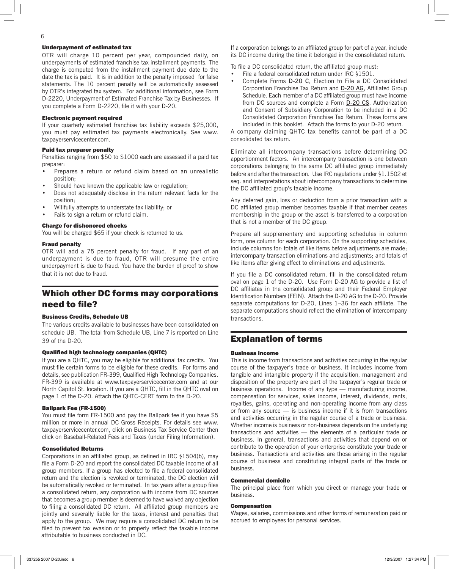#### Underpayment of estimated tax

OTR will charge 10 percent per year, compounded daily, on underpayments of estimated franchise tax installment payments. The charge is computed from the installment payment due date to the date the tax is paid. It is in addition to the penalty imposed for false statements. The 10 percent penalty will be automatically assessed by OTR's integrated tax system. For additional information, see Form D-2220, Underpayment of Estimated Franchise Tax by Businesses. If you complete a Form D-2220, file it with your D-20.

#### Electronic payment required

If your quarterly estimated franchise tax liability exceeds \$25,000, you must pay estimated tax payments electronically. See www. taxpayerservicecenter.com.

#### Paid tax preparer penalty

Penalties ranging from \$50 to \$1000 each are assessed if a paid tax preparer:

- Prepares a return or refund claim based on an unrealistic position;
- Should have known the applicable law or regulation;
- Does not adequately disclose in the return relevant facts for the position;
- Willfully attempts to understate tax liability; or
- Fails to sign a return or refund claim.

#### Charge for dishonored checks

You will be charged \$65 if your check is returned to us.

#### Fraud penalty

OTR will add a 75 percent penalty for fraud. If any part of an underpayment is due to fraud, OTR will presume the entire underpayment is due to fraud. You have the burden of proof to show that it is not due to fraud.

# Which other DC forms may corporations need to file?

#### Business Credits, Schedule UB

The various credits available to businesses have been consolidated on schedule UB. The total from Schedule UB, Line 7 is reported on Line 39 of the D-20.

#### Qualified high technology companies (QHTC)

If you are a QHTC, you may be eligible for additional tax credits. You must file certain forms to be eligible for these credits. For forms and details, see publication FR-399, Qualified High Technology Companies. FR-399 is available at www.taxpayerservicecenter.com and at our North Capitol St. location. If you are a QHTC, fill in the QHTC oval on page 1 of the D-20. Attach the QHTC-CERT form to the D-20.

#### Ballpark Fee (FR-1500)

You must file form FR-1500 and pay the Ballpark fee if you have \$5 million or more in annual DC Gross Receipts. For details see www. taxpayerservicecenter.com, click on Business Tax Service Center then click on Baseball-Related Fees and Taxes (under Filing Information).

#### Consolidated Returns

Corporations in an affiliated group, as defined in IRC §1504(b), may file a Form D-20 and report the consolidated DC taxable income of all group members. If a group has elected to file a federal consolidated return and the election is revoked or terminated, the DC election will be automatically revoked or terminated. In tax years after a group files a consolidated return, any corporation with income from DC sources that becomes a group member is deemed to have waived any objection to filing a consolidated DC return. All affiliated group members are jointly and severally liable for the taxes, interest and penalties that apply to the group. We may require a consolidated DC return to be filed to prevent tax evasion or to properly reflect the taxable income attributable to business conducted in DC.

If a corporation belongs to an affiliated group for part of a year, include its DC income during the time it belonged in the consolidated return.

To file a DC consolidated return, the affiliated group must:

- File a federal consolidated return under IRC §1501.
- Complete Forms **D-20 C**, Election to File a DC Consolidated Corporation Franchise Tax Return and D-20 AG, Affiliated Group Schedule. Each member of a DC affiliated group must have income from DC sources and complete a Form D-20 CS, Authorization and Consent of Subsidiary Corporation to be included in a DC Consolidated Corporation Franchise Tax Return. These forms are included in this booklet. Attach the forms to your D-20 return.

A company claiming QHTC tax benefits cannot be part of a DC consolidated tax return.

Eliminate all intercompany transactions before determining DC apportionment factors. An intercompany transaction is one between corporations belonging to the same DC affiliated group immediately before and after the transaction. Use IRC regulations under §1.1502 et seq. and interpretations about intercompany transactions to determine the DC affiliated group's taxable income.

Any deferred gain, loss or deduction from a prior transaction with a DC affiliated group member becomes taxable if that member ceases membership in the group or the asset is transferred to a corporation that is not a member of the DC group.

Prepare all supplementary and supporting schedules in column form, one column for each corporation. On the supporting schedules, include columns for: totals of like items before adjustments are made; intercompany transaction eliminations and adjustments; and totals of like items after giving effect to eliminations and adjustments.

If you file a DC consolidated return, fill in the consolidated return oval on page 1 of the D-20. Use Form D-20 AG to provide a list of DC affiliates in the consolidated group and their Federal Employer Identification Numbers (FEIN). Attach the D-20 AG to the D-20. Provide separate computations for D-20, Lines 1–36 for each affiliate. The separate computations should reflect the elimination of intercompany transactions.

# Explanation of terms

#### Business income

This is income from transactions and activities occurring in the regular course of the taxpayer's trade or business. It includes income from tangible and intangible property if the acquisition, management and disposition of the property are part of the taxpayer's regular trade or business operations. Income of any type — manufacturing income, compensation for services, sales income, interest, dividends, rents, royalties, gains, operating and non-operating income from any class or from any source — is business income if it is from transactions and activities occurring in the regular course of a trade or business. Whether income is business or non-business depends on the underlying transactions and activities — the elements of a particular trade or business. In general, transactions and activities that depend on or contribute to the operation of your enterprise constitute your trade or business. Transactions and activities are those arising in the regular course of business and constituting integral parts of the trade or business.

#### Commercial domicile

The principal place from which you direct or manage your trade or business.

#### Compensation

Wages, salaries, commissions and other forms of remuneration paid or accrued to employees for personal services.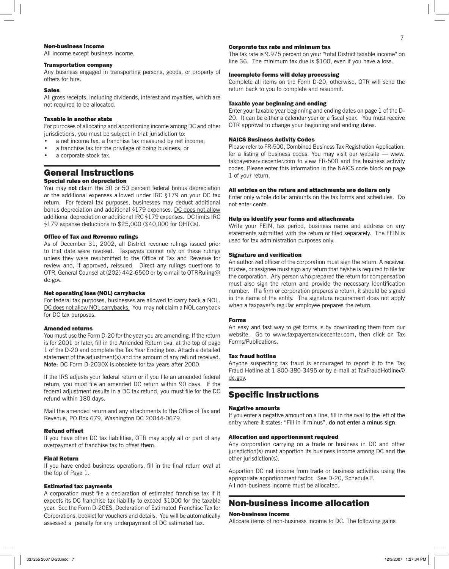#### Non-business income

All income except business income.

#### Transportation company

Any business engaged in transporting persons, goods, or property of others for hire.

#### Sales

All gross receipts, including dividends, interest and royalties, which are not required to be allocated.

#### Taxable in another state

For purposes of allocating and apportioning income among DC and other jurisdictions, you must be subject in that jurisdiction to:

- a net income tax, a franchise tax measured by net income;
- a franchise tax for the privilege of doing business; or
- a corporate stock tax.

#### General Instructions Special rules on depreciation

You may **not** claim the 30 or 50 percent federal bonus depreciation or the additional expenses allowed under IRC §179 on your DC tax return. For federal tax purposes, businesses may deduct additional bonus depreciation and additional §179 expenses. DC does not allow additional depreciation or additional IRC §179 expenses. DC limits IRC §179 expense deductions to \$25,000 (\$40,000 for QHTCs).

#### Office of Tax and Revenue rulings

As of December 31, 2002, all District revenue rulings issued prior to that date were revoked. Taxpayers cannot rely on these rulings unless they were resubmitted to the Office of Tax and Revenue for review and, if approved, reissued. Direct any rulings questions to OTR, General Counsel at (202) 442-6500 or by e-mail to OTRRuling@ dc.gov.

#### Net operating loss (NOL) carrybacks

For federal tax purposes, businesses are allowed to carry back a NOL. DC does not allow NOL carrybacks. You may not claim a NOL carryback for DC tax purposes.

#### Amended returns

You must use the Form D-20 for the year you are amending. If the return is for 2001 or later, fill in the Amended Return oval at the top of page 1 of the D-20 and complete the Tax Year Ending box. Attach a detailed statement of the adjustment(s) and the amount of any refund received. **Note:** DC Form D-2030X is obsolete for tax years after 2000.

If the IRS adjusts your federal return or if you file an amended federal return, you must file an amended DC return within 90 days. If the federal adjustment results in a DC tax refund, you must file for the DC refund within 180 days.

Mail the amended return and any attachments to the Office of Tax and Revenue, PO Box 679, Washington DC 20044-0679.

#### Refund offset

If you have other DC tax liabilities, OTR may apply all or part of any overpayment of franchise tax to offset them.

#### Final Return

If you have ended business operations, fill in the final return oval at the top of Page 1.

#### Estimated tax payments

A corporation must file a declaration of estimated franchise tax if it expects its DC franchise tax liability to exceed \$1000 for the taxable year. See the Form D-20ES, Declaration of Estimated Franchise Tax for Corporations, booklet for vouchers and details. You will be automatically assessed a penalty for any underpayment of DC estimated tax.

#### Corporate tax rate and minimum tax

The tax rate is 9.975 percent on your "total District taxable income" on line 36. The minimum tax due is \$100, even if you have a loss.

#### Incomplete forms will delay processing

Complete all items on the Form D-20, otherwise, OTR will send the return back to you to complete and resubmit.

#### Taxable year beginning and ending

Enter your taxable year beginning and ending dates on page 1 of the D-20. It can be either a calendar year or a fiscal year. You must receive OTR approval to change your beginning and ending dates.

#### NAICS Business Activity Codes

Please refer to FR-500, Combined Business Tax Registration Application, for a listing of business codes. You may visit our website — www. taxpayerservicecenter.com to view FR-500 and the business activity codes. Please enter this information in the NAICS code block on page 1 of your return.

#### All entries on the return and attachments are dollars only

Enter only whole dollar amounts on the tax forms and schedules. Do not enter cents.

#### Help us identify your forms and attachments

Write your FEIN, tax period, business name and address on any statements submitted with the return or filed separately. The FEIN is used for tax administration purposes only.

#### Signature and verification

An authorized officer of the corporation must sign the return. A receiver, trustee, or assignee must sign any return that he/she is required to file for the corporation. Any person who prepared the return for compensation must also sign the return and provide the necessary identification number. If a firm or corporation prepares a return, it should be signed in the name of the entity. The signature requirement does not apply when a taxpayer's regular employee prepares the return.

#### Forms

An easy and fast way to get forms is by downloading them from our website. Go to www.taxpayerservicecenter.com, then click on Tax Forms/Publications.

#### Tax fraud hotline

Anyone suspecting tax fraud is encouraged to report it to the Tax Fraud Hotline at 1 800-380-3495 or by e-mail at TaxFraudHotline@ dc.gov.

# Specific Instructions

#### Negative amounts

If you enter a negative amount on a line, fill in the oval to the left of the entry where it states: "Fill in if minus", **do not enter a minus sign**.

#### Allocation and apportionment required

Any corporation carrying on a trade or business in DC and other jurisdiction(s) must apportion its business income among DC and the other jurisdiction(s).

Apportion DC net income from trade or business activities using the appropriate apportionment factor. See D-20, Schedule F. All non-business income must be allocated.

# Non-business income allocation

#### Non-business income

Allocate items of non-business income to DC. The following gains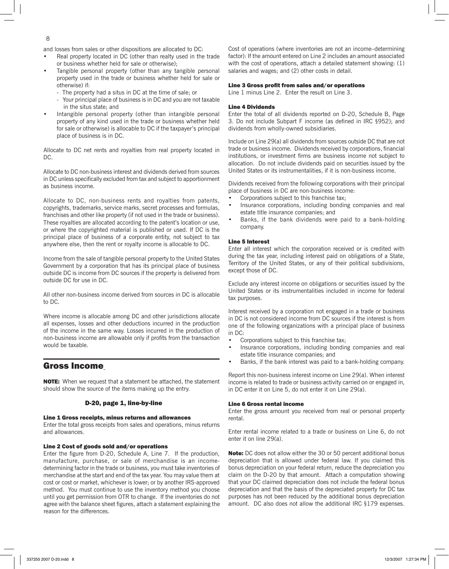and losses from sales or other dispositions are allocated to DC:

- Real property located in DC (other than realty used in the trade or business whether held for sale or otherwise);
- Tangible personal property (other than any tangible personal property used in the trade or business whether held for sale or otherwise) if:
	- The property had a situs in DC at the time of sale; or
	- Your principal place of business is in DC and you are not taxable in the situs state; and
- Intangible personal property (other than intangible personal property of any kind used in the trade or business whether held for sale or otherwise) is allocable to DC if the taxpayer's principal place of business is in DC.

Allocate to DC net rents and royalties from real property located in DC.

Allocate to DC non-business interest and dividends derived from sources in DC unless specifically excluded from tax and subject to apportionment as business income.

Allocate to DC, non-business rents and royalties from patents, copyrights, trademarks, service marks, secret processes and formulas, franchises and other like property (if not used in the trade or business). These royalties are allocated according to the patent's location or use, or where the copyrighted material is published or used. If DC is the principal place of business of a corporate entity, not subject to tax anywhere else, then the rent or royalty income is allocable to DC.

Income from the sale of tangible personal property to the United States Government by a corporation that has its principal place of business outside DC is income from DC sources if the property is delivered from outside DC for use in DC.

All other non-business income derived from sources in DC is allocable to DC.

Where income is allocable among DC and other jurisdictions allocate all expenses, losses and other deductions incurred in the production of the income in the same way. Losses incurred in the production of non-business income are allowable only if profits from the transaction would be taxable.

## Gross Income

NOTE: When we request that a statement be attached, the statement should show the source of the items making up the entry.

#### D-20, page 1, line-by-line

#### Line 1 Gross receipts, minus returns and allowances

Enter the total gross receipts from sales and operations, minus returns and allowances.

#### Line 2 Cost of goods sold and/or operations

Enter the figure from D-20, Schedule A, Line 7. If the production, manufacture, purchase, or sale of merchandise is an incomedetermining factor in the trade or business, you must take inventories of merchandise at the start and end of the tax year. You may value them at cost or cost or market, whichever is lower; or by another IRS-approved method. You must continue to use the inventory method you choose until you get permission from OTR to change. If the inventories do not agree with the balance sheet figures, attach a statement explaining the reason for the differences.

Cost of operations (where inventories are not an income–determining factor): If the amount entered on Line 2 includes an amount associated with the cost of operations, attach a detailed statement showing: (1) salaries and wages; and (2) other costs in detail.

#### Line 3 Gross profit from sales and/or operations

Line 1 minus Line 2. Enter the result on Line 3.

#### Line 4 Dividends

Enter the total of all dividends reported on D-20, Schedule B, Page 3. Do not include Subpart F income (as defined in IRC §952); and dividends from wholly-owned subsidiaries.

Include on Line 29(a) all dividends from sources outside DC that are not trade or business income. Dividends received by corporations, financial institutions, or investment firms are business income not subject to allocation. Do not include dividends paid on securities issued by the United States or its instrumentalities, if it is non-business income.

Dividends received from the following corporations with their principal place of business in DC are non-business income:

- Corporations subject to this franchise tax;
- Insurance corporations, including bonding companies and real estate title insurance companies; and
- Banks, if the bank dividends were paid to a bank-holding company.

#### Line 5 Interest

Enter all interest which the corporation received or is credited with during the tax year, including interest paid on obligations of a State, Territory of the United States, or any of their political subdivisions, except those of DC.

Exclude any interest income on obligations or securities issued by the United States or its instrumentalities included in income for federal tax purposes.

Interest received by a corporation not engaged in a trade or business in DC is not considered income from DC sources if the interest is from one of the following organizations with a principal place of business in DC:

- Corporations subject to this franchise tax;
- Insurance corporations, including bonding companies and real estate title insurance companies; and
- Banks, if the bank interest was paid to a bank-holding company.

Report this non-business interest income on Line 29(a). When interest income is related to trade or business activity carried on or engaged in, in DC enter it on Line 5, do not enter it on Line 29(a).

#### Line 6 Gross rental income

Enter the gross amount you received from real or personal property rental.

Enter rental income related to a trade or business on Line 6, do not enter it on line 29(a).

Note: DC does not allow either the 30 or 50 percent additional bonus depreciation that is allowed under federal law. If you claimed this bonus depreciation on your federal return, reduce the depreciation you claim on the D-20 by that amount. Attach a computation showing that your DC claimed depreciation does not include the federal bonus depreciation and that the basis of the depreciated property for DC tax purposes has not been reduced by the additional bonus depreciation amount. DC also does not allow the additional IRC §179 expenses.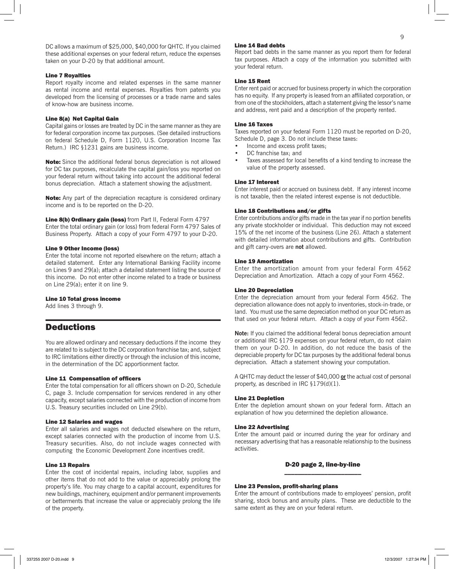DC allows a maximum of \$25,000, \$40,000 for QHTC. If you claimed these additional expenses on your federal return, reduce the expenses taken on your D-20 by that additional amount.

#### Line 7 Royalties

Report royalty income and related expenses in the same manner as rental income and rental expenses. Royalties from patents you developed from the licensing of processes or a trade name and sales of know-how are business income.

#### Line 8(a) Net Capital Gain

Capital gains or losses are treated by DC in the same manner as they are for federal corporation income tax purposes. (See detailed instructions on federal Schedule D, Form 1120, U.S. Corporation Income Tax Return.) IRC §1231 gains are business income.

Note: Since the additional federal bonus depreciation is not allowed for DC tax purposes, recalculate the capital gain/loss you reported on your federal return without taking into account the additional federal bonus depreciation. Attach a statement showing the adjustment.

Note: Any part of the depreciation recapture is considered ordinary income and is to be reported on the D-20.

Line 8(b) Ordinary gain (loss) from Part II, Federal Form 4797 Enter the total ordinary gain (or loss) from federal Form 4797 Sales of Business Property. Attach a copy of your Form 4797 to your D-20.

#### Line 9 Other Income (loss)

Enter the total income not reported elsewhere on the return; attach a detailed statement. Enter any International Banking Facility income on Lines 9 and 29(a); attach a detailed statement listing the source of this income. Do not enter other income related to a trade or business on Line 29(a); enter it on line 9.

#### Line 10 Total gross income

Add lines 3 through 9.

# **Deductions**

You are allowed ordinary and necessary deductions if the income they are related to is subject to the DC corporation franchise tax; and, subject to IRC limitations either directly or through the inclusion of this income, in the determination of the DC apportionment factor.

#### Line 11 Compensation of officers

Enter the total compensation for all officers shown on D-20, Schedule C, page 3. Include compensation for services rendered in any other capacity, except salaries connected with the production of income from U.S. Treasury securities included on Line 29(b).

#### Line 12 Salaries and wages

Enter all salaries and wages not deducted elsewhere on the return, except salaries connected with the production of income from U.S. Treasury securities. Also, do not include wages connected with computing the Economic Development Zone incentives credit.

#### Line 13 Repairs

Enter the cost of incidental repairs, including labor, supplies and other items that do not add to the value or appreciably prolong the property's life. You may charge to a capital account, expenditures for new buildings, machinery, equipment and/or permanent improvements or betterments that increase the value or appreciably prolong the life of the property.

#### Line 14 Bad debts

Report bad debts in the same manner as you report them for federal tax purposes. Attach a copy of the information you submitted with your federal return.

#### Line 15 Rent

Enter rent paid or accrued for business property in which the corporation has no equity. If any property is leased from an affiliated corporation, or from one of the stockholders, attach a statement giving the lessor's name and address, rent paid and a description of the property rented.

#### Line 16 Taxes

Taxes reported on your federal Form 1120 must be reported on D-20, Schedule D, page 3. Do not include these taxes:

- Income and excess profit taxes;
- DC franchise tax; and
- Taxes assessed for local benefits of a kind tending to increase the value of the property assessed.

#### Line 17 Interest

Enter interest paid or accrued on business debt. If any interest income is not taxable, then the related interest expense is not deductible.

#### Line 18 Contributions and/or gifts

Enter contributions and/or gifts made in the tax year if no portion benefits any private stockholder or individual. This deduction may not exceed 15% of the net income of the business (Line 26). Attach a statement with detailed information about contributions and gifts. Contribution and gift carry-overs are **not** allowed.

#### Line 19 Amortization

Enter the amortization amount from your federal Form 4562 Depreciation and Amortization. Attach a copy of your Form 4562.

#### Line 20 Depreciation

Enter the depreciation amount from your federal Form 4562. The depreciation allowance does not apply to inventories, stock-in-trade, or land. You must use the same depreciation method on your DC return as that used on your federal return. Attach a copy of your Form 4562.

**Note:** If you claimed the additional federal bonus depreciation amount or additional IRC §179 expenses on your federal return, do not claim them on your D-20. In addition, do not reduce the basis of the depreciable property for DC tax purposes by the additional federal bonus depreciation. Attach a statement showing your computation.

A QHTC may deduct the lesser of \$40,000 **or** the actual cost of personal property, as described in IRC §179(d)(1).

#### Line 21 Depletion

Enter the depletion amount shown on your federal form. Attach an explanation of how you determined the depletion allowance.

#### Line 22 Advertising

Enter the amount paid or incurred during the year for ordinary and necessary advertising that has a reasonable relationship to the business activities.

#### D-20 page 2, line-by-line \_\_\_\_\_\_\_\_\_\_\_\_\_\_\_\_\_\_\_\_\_\_\_

#### Line 23 Pension, profit-sharing plans

Enter the amount of contributions made to employees' pension, profit sharing, stock bonus and annuity plans. These are deductible to the same extent as they are on your federal return.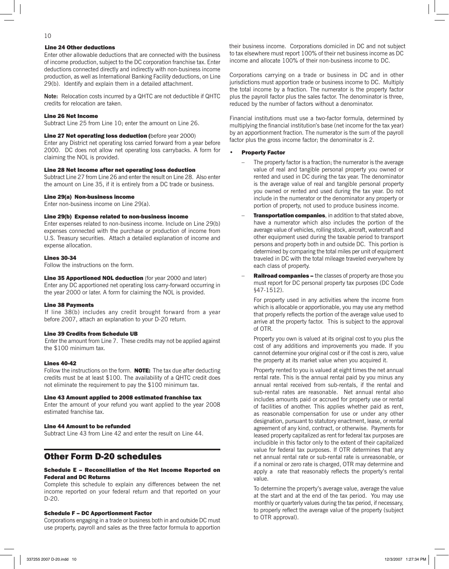#### Line 24 Other deductions

Enter other allowable deductions that are connected with the business of income production, subject to the DC corporation franchise tax. Enter deductions connected directly and indirectly with non-business income production, as well as International Banking Facility deductions, on Line 29(b). Identify and explain them in a detailed attachment.

**Note:** Relocation costs incurred by a QHTC are not deductible if QHTC credits for relocation are taken.

#### Line 26 Net Income

Subtract Line 25 from Line 10; enter the amount on Line 26.

#### Line 27 Net operating loss deduction (before year 2000)

Enter any District net operating loss carried forward from a year before 2000. DC does not allow net operating loss carrybacks. A form for claiming the NOL is provided.

#### Line 28 Net Income after net operating loss deduction

Subtract Line 27 from Line 26 and enter the result on Line 28. Also enter the amount on Line 35, if it is entirely from a DC trade or business.

#### Line 29(a) Non-business income

Enter non-business income on Line 29(a).

#### Line 29(b) Expense related to non-business income

Enter expenses related to non-business income. Include on Line 29(b) expenses connected with the purchase or production of income from U.S. Treasury securities. Attach a detailed explanation of income and expense allocation.

#### Lines 30-34

Follow the instructions on the form.

Line 35 Apportioned NOL deduction (for year 2000 and later) Enter any DC apportioned net operating loss carry-forward occurring in the year 2000 or later. A form for claiming the NOL is provided.

#### Line 38 Payments

If line 38(b) includes any credit brought forward from a year before 2007, attach an explanation to your D-20 return.

#### Line 39 Credits from Schedule UB

Enter the amount from Line 7. These credits may not be applied against the \$100 minimum tax.

#### Lines 40-42

Follow the instructions on the form. **NOTE:** The tax due after deducting credits must be at least \$100. The availability of a QHTC credit does not eliminate the requirement to pay the \$100 minimum tax.

#### Line 43 Amount applied to 2008 estimated franchise tax

Enter the amount of your refund you want applied to the year 2008 estimated franchise tax.

#### Line 44 Amount to be refunded

Subtract Line 43 from Line 42 and enter the result on Line 44.

# Other Form D-20 schedules

#### Schedule E – Reconciliation of the Net Income Reported on Federal and DC Returns

Complete this schedule to explain any differences between the net income reported on your federal return and that reported on your D-20.

#### Schedule F – DC Apportionment Factor

Corporations engaging in a trade or business both in and outside DC must use property, payroll and sales as the three factor formula to apportion to tax elsewhere must report 100% of their net business income as DC income and allocate 100% of their non-business income to DC. their business income. Corporations domiciled in DC and not subject

Corporations carrying on a trade or business in DC and in other jurisdictions must apportion trade or business income to DC. Multiply the total income by a fraction. The numerator is the property factor plus the payroll factor plus the sales factor. The denominator is three, reduced by the number of factors without a denominator.

Financial institutions must use a two-factor formula, determined by multiplying the financial institution's base (net income for the tax year) by an apportionment fraction. The numerator is the sum of the payroll factor plus the gross income factor; the denominator is 2.

#### • Property Factor

- The property factor is a fraction; the numerator is the average value of real and tangible personal property you owned or rented and used in DC during the tax year. The denominator is the average value of real and tangible personal property you owned or rented and used during the tax year. Do not include in the numerator or the denominator any property or portion of property, not used to produce business income.
- **Transportation companies**, in addition to that stated above, have a numerator which also includes the portion of the average value of vehicles, rolling stock, aircraft, watercraft and other equipment used during the taxable period to transport persons and property both in and outside DC. This portion is determined by comparing the total miles per unit of equipment traveled in DC with the total mileage traveled everywhere by each class of property.
- Railroad companies the classes of property are those you must report for DC personal property tax purposes (DC Code §47-1512).

For property used in any activities where the income from which is allocable or apportionable, you may use any method that properly reflects the portion of the average value used to arrive at the property factor. This is subject to the approval of OTR.

Property you own is valued at its original cost to you plus the cost of any additions and improvements you made. If you cannot determine your original cost or if the cost is zero, value the property at its market value when you acquired it.

Property rented to you is valued at eight times the net annual rental rate. This is the annual rental paid by you minus any annual rental received from sub-rentals, if the rental and sub-rental rates are reasonable. Net annual rental also includes amounts paid or accrued for property use or rental of facilities of another. This applies whether paid as rent, as reasonable compensation for use or under any other designation, pursuant to statutory enactment, lease, or rental agreement of any kind, contract, or otherwise. Payments for leased property capitalized as rent for federal tax purposes are includible in this factor only to the extent of their capitalized value for federal tax purposes. If OTR determines that any net annual rental rate or sub-rental rate is unreasonable, or if a nominal or zero rate is charged, OTR may determine and apply a rate that reasonably reflects the property's rental value.

 To determine the property's average value, average the value at the start and at the end of the tax period. You may use monthly or quarterly values during the tax period, if necessary, to properly reflect the average value of the property (subject to OTR approval).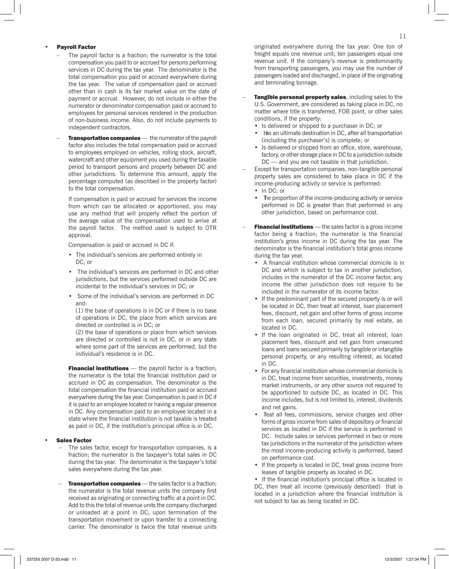#### • Payroll Factor

- The payroll factor is a fraction; the numerator is the total compensation you paid to or accrued for persons performing services in DC during the tax year. The denominator is the total compensation you paid or accrued everywhere during the tax year. The value of compensation paid or accrued other than in cash is its fair market value on the date of payment or accrual. However, do not include in either the numerator or denominator compensation paid or accrued to employees for personal services rendered in the production of non-business income. Also, do not include payments to independent contractors.
- Transportation companies the numerator of the payroll factor also includes the total compensation paid or accrued to employees employed on vehicles, rolling stock, aircraft, watercraft and other equipment you used during the taxable period to transport persons and property between DC and other jurisdictions. To determine this amount, apply the percentage computed (as described in the property factor) to the total compensation.

If compensation is paid or accrued for services the income from which can be allocated or apportioned, you may use any method that will properly reflect the portion of the average value of the compensation used to arrive at the payroll factor. The method used is subject to OTR approval.

Compensation is paid or accrued in DC if:

- The individual's services are performed entirely in DC: or
- The individual's services are performed in DC and other jurisdictions, but the services performed outside DC are incidental to the individual's services in DC; or
- Some of the individual's services are performed in DC and:

(1) the base of operations is in DC or if there is no base of operations in DC, the place from which services are directed or controlled is in DC; or

(2) the base of operations or place from which services are directed or controlled is not in DC, or in any state where some part of the services are performed, but the individual's residence is in DC.

Financial institutions - the payroll factor is a fraction; the numerator is the total the financial institution paid or accrued in DC as compensation. The denominator is the total compensation the financial institution paid or accrued everywhere during the tax year. Compensation is paid in DC if it is paid to an employee located or having a regular presence in DC. Any compensation paid to an employee located in a state where the financial institution is not taxable is treated as paid in DC, if the institution's principal office is in DC.

#### • Sales Factor

- The sales factor, except for transportation companies, is a fraction; the numerator is the taxpayer's total sales in DC during the tax year. The denominator is the taxpayer's total sales everywhere during the tax year.
- **Transportation companies** the sales factor is a fraction; the numerator is the total revenue units the company first received as originating or connecting traffic at a point in DC. Add to this the total of revenue units the company discharged or unloaded at a point in DC, upon termination of the transportation movement or upon transfer to a connecting carrier. The denominator is twice the total revenue units

originated everywhere during the tax year. One ton of freight equals one revenue unit; ten passengers equal one revenue unit. If the company's revenue is predominantly from transporting passengers, you may use the number of passengers loaded and discharged, in place of the originating and terminating tonnage.

- Tangible personal property sales, including sales to the U.S. Government, are considered as taking place in DC, no matter where title is transferred, FOB point, or other sales conditions, if the property:
	- Is delivered or shipped to a purchaser in DC; or
	- Has an ultimate destination in DC, after all transportation (including the purchaser's) is complete; or
	- Is delivered or shipped from an office, store, warehouse, factory, or other storage place in DC to a jurisdiction outside DC — and you are not taxable in that jurisdiction.
- Except for transportation companies, non-tangible personal property sales are considered to take place in DC if the income-producing activity or service is performed: • In DC; or
	- The proportion of the income-producing activity or service performed in DC is greater than that performed in any other jurisdiction, based on performance cost.
- Financial institutions the sales factor is a gross income factor being a fraction; the numerator is the financial institution's gross income in DC during the tax year. The denominator is the financial institution's total gross income during the tax year.
	- A financial institution whose commercial domicile is in DC and which is subject to tax in another jurisdiction, includes in the numerator of the DC income factor, any income the other jurisdiction does not require to be included in the numerator of its income factor.
	- If the predominant part of the secured property is or will be located in DC, then treat all interest, loan placement fees, discount, net gain and other forms of gross income from each loan, secured primarily by real estate, as located in DC.
	- If the loan originated in DC, treat all interest, loan placement fees, discount and net gain from unsecured loans and loans secured primarily by tangible or intangible personal property, or any resulting interest, as located in DC.
	- For any financial institution whose commercial domicile is in DC, treat income from securities, investments, money market instruments, or any other source not required to be apportioned to outside DC, as located in DC. This income includes, but is not limited to, interest, dividends and net gains.
	- Teat all fees, commissions, service charges and other forms of gross income from sales of depository or financial services as located in DC if the service is performed in DC. Include sales or services performed in two or more tax jurisdictions in the numerator of the jurisdiction where the most income-producing activity is performed, based on performance cost.
	- If the property is located in DC, treat gross income from leases of tangible property as located in DC.
	- If the financial institution's principal office is located in DC, then treat all income (previously described) that is located in a jurisdiction where the financial institution is not subject to tax as being located in DC.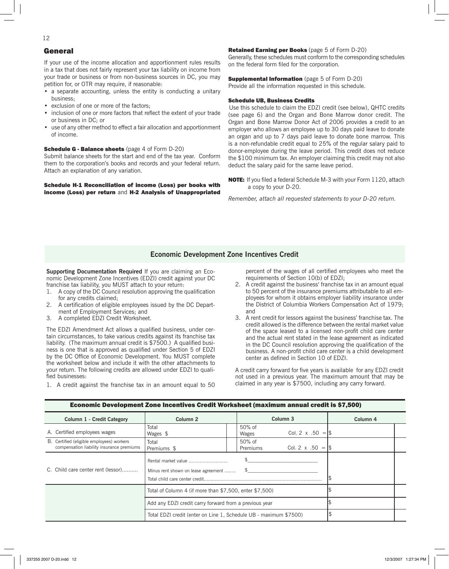# General

If your use of the income allocation and apportionment rules results in a tax that does not fairly represent your tax liability on income from your trade or business or from non-business sources in DC, you may petition for, or OTR may require, if reasonable:

- a separate accounting, unless the entity is conducting a unitary business;
- exclusion of one or more of the factors;
- inclusion of one or more factors that reflect the extent of your trade or business in DC; or
- use of any other method to effect a fair allocation and apportionment of income.

#### Schedule G - Balance sheets (page 4 of Form D-20)

Submit balance sheets for the start and end of the tax year. Conform them to the corporation's books and records and your federal return. Attach an explanation of any variation.

#### Schedule H-1 Reconciliation of income (Loss) per books with income (Loss) per return and H-2 Analysis of Unappropriated

#### Retained Earning per Books (page 5 of Form D-20)

Generally, these schedules must conform to the corresponding schedules on the federal form filed for the corporation.

#### **Supplemental Information** (page 5 of Form D-20)

Provide all the information requested in this schedule.

#### Schedule UB, Business Credits

Use this schedule to claim the EDZI credit (see below), QHTC credits (see page 6) and the Organ and Bone Marrow donor credit. The Organ and Bone Marrow Donor Act of 2006 provides a credit to an employer who allows an employee up to 30 days paid leave to donate an organ and up to 7 days paid leave to donate bone marrow. This is a non-refundable credit equal to 25% of the regular salary paid to donor-employee during the leave period. This credit does not reduce the \$100 minimum tax. An employer claiming this credit may not also deduct the salary paid for the same leave period.

NOTE: If you filed a federal Schedule M-3 with your Form 1120, attach a copy to your D-20.

*Remember, attach all requested statements to your D-20 return.*

### **Economic Development Zone Incentives Credit**

**Supporting Documentation Required** If you are claiming an Economic Development Zone Incentives (EDZI) credit against your DC franchise tax liability, you MUST attach to your return:

- 1. A copy of the DC Council resolution approving the qualification for any credits claimed;
- 2. A certification of eligible employees issued by the DC Department of Employment Services; and
- 3. A completed EDZI Credit Worksheet.

The EDZI Amendment Act allows a qualified business, under certain circumstances, to take various credits against its franchise tax liability. (The maximum annual credit is \$7500.) A qualified business is one that is approved as qualified under Section 5 of EDZI by the DC Office of Economic Development. You MUST complete the worksheet below and include it with the other attachments to your return. The following credits are allowed under EDZI to qualified businesses:

1. A credit against the franchise tax in an amount equal to 50

percent of the wages of all certified employees who meet the requirements of Section 10(b) of EDZI;

- 2. A credit against the business' franchise tax in an amount equal to 50 percent of the insurance premiums attributable to all employees for whom it obtains employer liability insurance under the District of Columbia Workers Compensation Act of 1979; and
- 3. A rent credit for lessors against the business' franchise tax. The credit allowed is the difference between the rental market value of the space leased to a licensed non-profit child care center and the actual rent stated in the lease agreement as indicated in the DC Council resolution approving the qualification of the business. A non-profit child care center is a child development center as defined in Section 10 of EDZI.

A credit carry forward for five years is available for any EDZI credit not used in a previous year. The maximum amount that may be claimed in any year is \$7500, including any carry forward.

| Column 1 - Credit Category                                                             | Column <sub>2</sub>                                               | Column <sub>3</sub> |                    | Column <sub>4</sub>       |  |  |  |
|----------------------------------------------------------------------------------------|-------------------------------------------------------------------|---------------------|--------------------|---------------------------|--|--|--|
| A. Certified employees wages                                                           | Total<br>Wages \$                                                 |                     | 50% of<br>Wages    | Col. 2 x .50 = $\$\$      |  |  |  |
| B. Certified (eligible employees) workers<br>compensation liability insurance premiums | Total<br>Premiums \$                                              |                     | 50% of<br>Premiums | Col. 2 x .50 = $\sqrt{3}$ |  |  |  |
| C. Child care center rent (lessor)                                                     | Rental market value<br>Minus rent shown on lease agreement        |                     |                    |                           |  |  |  |
|                                                                                        | Total of Column 4 (if more than \$7,500, enter \$7,500)           |                     |                    |                           |  |  |  |
|                                                                                        | Add any EDZI credit carry forward from a previous year            |                     |                    |                           |  |  |  |
|                                                                                        | Total EDZI credit (enter on Line 1, Schedule UB - maximum \$7500) |                     |                    |                           |  |  |  |

#### Economic Development Zone Incentives Credit Worksheet (maximum annual credit is \$7,500)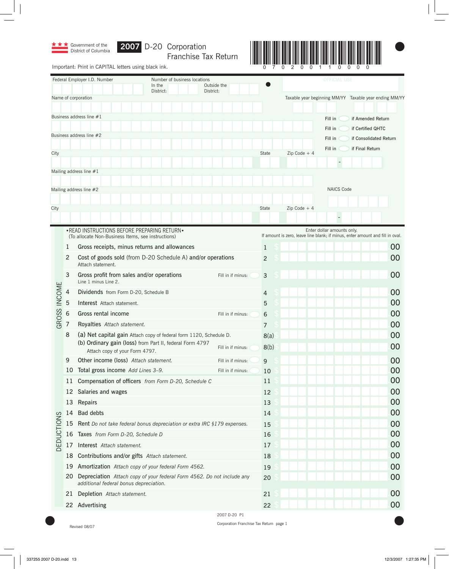

Franchise Tax Return



Important: Print in CAPITAL letters using black ink.

|                   |            | Federal Employer I.D. Number                                                                                     | Number of business locations |                          | <b>OFFICIAL USE</b> |  |                                                                                                             |    |
|-------------------|------------|------------------------------------------------------------------------------------------------------------------|------------------------------|--------------------------|---------------------|--|-------------------------------------------------------------------------------------------------------------|----|
|                   |            | In the<br>District:                                                                                              |                              | Outside the<br>District: |                     |  |                                                                                                             |    |
|                   |            | Name of corporation                                                                                              |                              |                          |                     |  | Taxable year beginning MM/YY Taxable year ending MM/YY                                                      |    |
|                   |            |                                                                                                                  |                              |                          |                     |  |                                                                                                             |    |
|                   |            | Business address line #1                                                                                         |                              |                          |                     |  | Fill in<br>if Amended Return                                                                                |    |
|                   |            |                                                                                                                  |                              |                          |                     |  | Fill in<br>if Certified QHTC                                                                                |    |
|                   |            | Business address line #2                                                                                         |                              |                          |                     |  | Fill in<br>if Consolidated Return                                                                           |    |
| City              |            |                                                                                                                  |                              |                          | State               |  | Fill in<br>if Final Return<br>$Zip Code + 4$                                                                |    |
|                   |            |                                                                                                                  |                              |                          |                     |  |                                                                                                             |    |
|                   |            | Mailing address line #1                                                                                          |                              |                          |                     |  |                                                                                                             |    |
|                   |            |                                                                                                                  |                              |                          |                     |  |                                                                                                             |    |
|                   |            | Mailing address line #2                                                                                          |                              |                          |                     |  | <b>NAICS Code</b>                                                                                           |    |
|                   |            |                                                                                                                  |                              |                          |                     |  |                                                                                                             |    |
| City              |            |                                                                                                                  |                              |                          | State               |  | Zip Code $+4$                                                                                               |    |
|                   |            |                                                                                                                  |                              |                          |                     |  |                                                                                                             |    |
|                   |            | • READ INSTRUCTIONS BEFORE PREPARING RETURN •<br>(To allocate Non-Business Items, see instructions)              |                              |                          |                     |  | Enter dollar amounts only.<br>If amount is zero, leave line blank; if minus, enter amount and fill in oval. |    |
|                   | 1          | Gross receipts, minus returns and allowances                                                                     |                              |                          | $\mathbf{1}$        |  |                                                                                                             | 00 |
|                   | 2          | Cost of goods sold (from D-20 Schedule A) and/or operations<br>Attach statement.                                 |                              |                          | $\overline{2}$      |  |                                                                                                             | 00 |
|                   | 3          | Gross profit from sales and/or operations<br>Line 1 minus Line 2.                                                |                              | Fill in if minus:        | $\mathsf{3}$        |  |                                                                                                             | 00 |
|                   | 4          | Dividends from Form D-20, Schedule B                                                                             |                              |                          | 4                   |  |                                                                                                             | 00 |
|                   | 5          | Interest Attach statement.                                                                                       |                              |                          | 5                   |  |                                                                                                             | 00 |
|                   | $\sqrt{6}$ | Gross rental income                                                                                              |                              | Fill in if minus:        | 6                   |  |                                                                                                             | 00 |
| GROSS INCOME      | 7          | Royalties Attach statement.                                                                                      |                              |                          | 7                   |  |                                                                                                             | 00 |
|                   | 8          | (a) Net capital gain Attach copy of federal form 1120, Schedule D.                                               |                              |                          | 8(a)                |  |                                                                                                             | 00 |
|                   |            | (b) Ordinary gain (loss) from Part II, federal Form 4797<br>Attach copy of your Form 4797.                       |                              | Fill in if minus:        | 8(b)                |  |                                                                                                             | 00 |
|                   | 9          | Other income (loss) Attach statement.                                                                            |                              | Fill in if minus:        | 9                   |  |                                                                                                             | 00 |
|                   |            | 10 Total gross income Add Lines 3-9.                                                                             |                              | Fill in if minus:        | 10                  |  |                                                                                                             | 00 |
|                   |            | 11 Compensation of officers from Form D-20, Schedule C                                                           |                              |                          | 11                  |  |                                                                                                             | 00 |
|                   |            | 12 Salaries and wages                                                                                            |                              |                          | 12                  |  |                                                                                                             | 00 |
|                   |            | 13 Repairs                                                                                                       |                              |                          | 13                  |  |                                                                                                             | 00 |
|                   | 14         | <b>Bad debts</b>                                                                                                 |                              |                          | 14                  |  |                                                                                                             | 00 |
|                   | 15         | Rent Do not take federal bonus depreciation or extra IRC §179 expenses.                                          |                              |                          | 15                  |  |                                                                                                             | 00 |
|                   |            | 16 Taxes from Form D-20, Schedule D                                                                              |                              |                          | 16                  |  |                                                                                                             | 00 |
| <b>DEDUCTIONS</b> | 17         | Interest Attach statement.                                                                                       |                              |                          | 17                  |  |                                                                                                             | 00 |
|                   | 18         | Contributions and/or gifts Attach statement.                                                                     |                              |                          | 18                  |  |                                                                                                             | 00 |
|                   | 19         | Amortization Attach copy of your federal Form 4562.                                                              |                              |                          | 19                  |  |                                                                                                             | 00 |
|                   | 20         | Depreciation Attach copy of your federal Form 4562. Do not include any<br>additional federal bonus depreciation. |                              |                          | 20                  |  |                                                                                                             | 00 |
|                   | 21         | Depletion Attach statement.                                                                                      |                              |                          | 21                  |  |                                                                                                             | 00 |
|                   |            | 22 Advertising                                                                                                   |                              |                          | 22                  |  |                                                                                                             | 00 |
|                   |            |                                                                                                                  |                              | 2007 D-20 P1             |                     |  |                                                                                                             |    |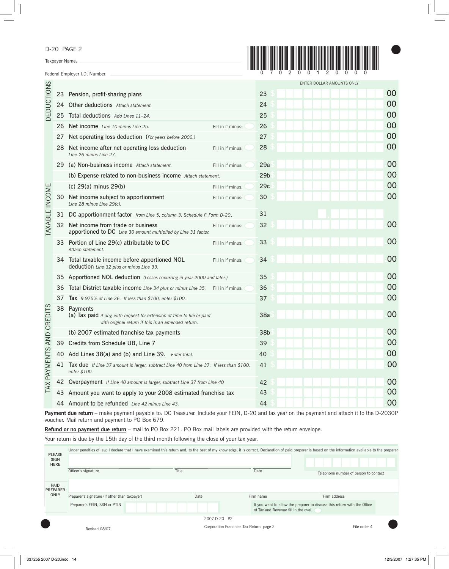D-20 PAGE 2

Taxpayer Name:

Federal Employer I.D. Number:



|                       |                                                                           |                                                                                                                                              |                   |                 | ENTER DOLLAR AMOUNTS ONLY |    |
|-----------------------|---------------------------------------------------------------------------|----------------------------------------------------------------------------------------------------------------------------------------------|-------------------|-----------------|---------------------------|----|
|                       |                                                                           | 23 Pension, profit-sharing plans                                                                                                             |                   | 23              |                           | 00 |
| <b>DEDUCTIONS</b>     |                                                                           | 24 Other deductions Attach statement.                                                                                                        |                   | 24              |                           | 00 |
|                       | 25                                                                        | Total deductions Add Lines 11-24.                                                                                                            | 25                |                 | 00                        |    |
|                       | 26                                                                        | Net income Line 10 minus Line 25.                                                                                                            | Fill in if minus: | 26              |                           | 00 |
|                       | 27                                                                        | Net operating loss deduction (For years before 2000.)                                                                                        |                   | 27              |                           | 00 |
|                       | 28                                                                        | Net income after net operating loss deduction<br>Line 26 minus Line 27.                                                                      | Fill in if minus: | 28              |                           | 00 |
|                       | 29                                                                        | (a) Non-business income Attach statement.                                                                                                    | Fill in if minus: | 29a             |                           | 00 |
|                       |                                                                           | (b) Expense related to non-business income Attach statement.                                                                                 |                   | 29 <sub>b</sub> |                           | 00 |
|                       |                                                                           | (c) 29(a) minus 29(b)                                                                                                                        | Fill in if minus: | 29c             |                           | 00 |
| <b>TAXABLE INCOME</b> | 30                                                                        | Net income subject to apportionment<br>Line 28 minus Line 29(c).                                                                             | Fill in if minus: | 30              |                           | 00 |
|                       | 31                                                                        | DC apportionment factor from Line 5, column 3, Schedule F, Form D-20.                                                                        |                   | 31              |                           |    |
|                       | 32                                                                        | Net income from trade or business<br>apportioned to DC Line 30 amount multiplied by Line 31 factor.                                          | Fill in if minus: | 32              |                           | 00 |
|                       | 33                                                                        | Portion of Line 29(c) attributable to DC<br>Attach statement.                                                                                | Fill in if minus: | 33              |                           | 00 |
|                       |                                                                           | 34 Total taxable income before apportioned NOL<br>deduction Line 32 plus or minus Line 33.                                                   | Fill in if minus: | 34              |                           | 00 |
|                       | 35                                                                        | Apportioned NOL deduction (Losses occurring in year 2000 and later.)                                                                         |                   | 35              |                           | 00 |
|                       | 36                                                                        | Total District taxable income Line 34 plus or minus Line 35. Fill in if minus:                                                               |                   | 36              |                           | 00 |
|                       | 37                                                                        | <b>Tax</b> 9.975% of Line 36. If less than \$100, enter \$100.                                                                               |                   | 37              |                           | 00 |
| AND CREDITS           |                                                                           | 38 Payments<br>(a) Tax paid if any, with request for extension of time to file or paid<br>with original return if this is an amended return. |                   | 38a             |                           | 00 |
|                       |                                                                           | (b) 2007 estimated franchise tax payments                                                                                                    |                   | 38b             |                           | 00 |
|                       |                                                                           | 39 Credits from Schedule UB, Line 7                                                                                                          |                   | 39              |                           | 00 |
|                       |                                                                           | 40 Add Lines 38(a) and (b) and Line 39. Enter total.                                                                                         | 40                |                 | 00                        |    |
| AX PAYMENTS           | 41                                                                        | Tax due If Line 37 amount is larger, subtract Line 40 from Line 37. If less than \$100,<br>enter \$100.                                      |                   | 41              |                           | 00 |
|                       | 42 Overpayment If Line 40 amount is larger, subtract Line 37 from Line 40 |                                                                                                                                              |                   |                 |                           | 00 |
|                       |                                                                           | 43 Amount you want to apply to your 2008 estimated franchise tax                                                                             |                   | 43              |                           | 00 |
|                       |                                                                           | 44 Amount to be refunded Line 42 minus Line 43.                                                                                              |                   | 44              |                           | 00 |

Payment due return - make payment payable to: DC Treasurer. Include your FEIN, D-20 and tax year on the payment and attach it to the D-2030P voucher. Mail return and payment to PO Box 679.

**Refund or no payment due return** – mail to PO Box 221. PO Box mail labels are provided with the return envelope.

Your return is due by the 15th day of the third month following the close of your tax year.

| <b>PLEASE</b><br>SIGN<br><b>HERE</b> |                                               | Under penalties of law, I declare that I have examined this return and, to the best of my knowledge, it is correct. Declaration of paid preparer is based on the information available to the preparer. |      |                                         |                                      |                                                                          |                                       |  |
|--------------------------------------|-----------------------------------------------|---------------------------------------------------------------------------------------------------------------------------------------------------------------------------------------------------------|------|-----------------------------------------|--------------------------------------|--------------------------------------------------------------------------|---------------------------------------|--|
|                                      | Officer's signature                           | Title                                                                                                                                                                                                   |      |                                         | Date                                 |                                                                          | Telephone number of person to contact |  |
| PAID<br><b>PREPARER</b>              |                                               |                                                                                                                                                                                                         |      |                                         |                                      |                                                                          |                                       |  |
| ONLY                                 | Preparer's signature (if other than taxpayer) |                                                                                                                                                                                                         | Date |                                         | Firm name                            | Firm address                                                             |                                       |  |
|                                      | Preparer's FEIN, SSN or PTIN                  |                                                                                                                                                                                                         |      |                                         | of Tax and Revenue fill in the oval. | If you want to allow the preparer to discuss this return with the Office |                                       |  |
|                                      |                                               |                                                                                                                                                                                                         |      | 2007 D-20 P2                            |                                      |                                                                          |                                       |  |
|                                      | Revised 08/07                                 |                                                                                                                                                                                                         |      | Corporation Franchise Tax Return page 2 |                                      |                                                                          | File order 4                          |  |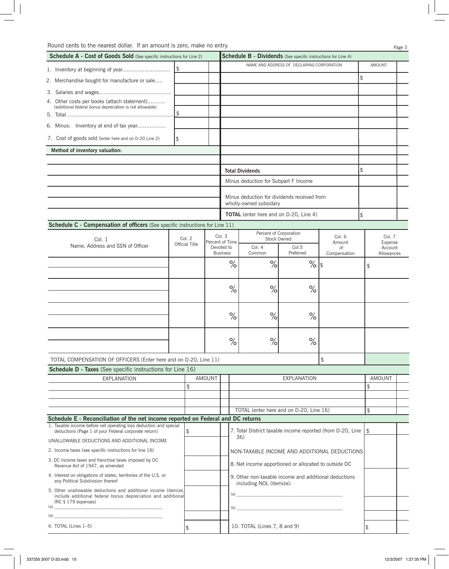| <b>Schedule A - Cost of Goods Sold</b> (See specific instructions for Line 2)                                                                                                                                                                                                                                                                                      |     |                |                               |                                                                                   | <b>Schedule B - Dividends</b> (See specific instructions for Line 4)                                                                                                                                                                                                                                                                                               |                                           |                    |                           |                       |  |
|--------------------------------------------------------------------------------------------------------------------------------------------------------------------------------------------------------------------------------------------------------------------------------------------------------------------------------------------------------------------|-----|----------------|-------------------------------|-----------------------------------------------------------------------------------|--------------------------------------------------------------------------------------------------------------------------------------------------------------------------------------------------------------------------------------------------------------------------------------------------------------------------------------------------------------------|-------------------------------------------|--------------------|---------------------------|-----------------------|--|
|                                                                                                                                                                                                                                                                                                                                                                    |     |                |                               |                                                                                   |                                                                                                                                                                                                                                                                                                                                                                    | NAME AND ADDRESS OF DECLARING CORPORATION |                    |                           | AMOUNT                |  |
| 2. Merchandise bought for manufacture or sale                                                                                                                                                                                                                                                                                                                      |     |                |                               |                                                                                   |                                                                                                                                                                                                                                                                                                                                                                    |                                           |                    | \$                        |                       |  |
|                                                                                                                                                                                                                                                                                                                                                                    |     |                |                               |                                                                                   |                                                                                                                                                                                                                                                                                                                                                                    |                                           |                    |                           |                       |  |
| 4. Other costs per books (attach statement)                                                                                                                                                                                                                                                                                                                        |     |                |                               |                                                                                   |                                                                                                                                                                                                                                                                                                                                                                    |                                           |                    |                           |                       |  |
| (additional federal bonus depreciation is not allowable)                                                                                                                                                                                                                                                                                                           | \$. |                |                               |                                                                                   |                                                                                                                                                                                                                                                                                                                                                                    |                                           |                    |                           |                       |  |
| 6. Minus: Inventory at end of tax year                                                                                                                                                                                                                                                                                                                             |     |                |                               |                                                                                   |                                                                                                                                                                                                                                                                                                                                                                    |                                           |                    |                           |                       |  |
|                                                                                                                                                                                                                                                                                                                                                                    |     |                |                               |                                                                                   |                                                                                                                                                                                                                                                                                                                                                                    |                                           |                    |                           |                       |  |
| 7. Cost of goods sold (enter here and on D-20 Line 2)                                                                                                                                                                                                                                                                                                              | \$  |                |                               |                                                                                   |                                                                                                                                                                                                                                                                                                                                                                    |                                           |                    |                           |                       |  |
| Method of inventory valuation:                                                                                                                                                                                                                                                                                                                                     |     |                |                               |                                                                                   |                                                                                                                                                                                                                                                                                                                                                                    |                                           |                    |                           |                       |  |
|                                                                                                                                                                                                                                                                                                                                                                    |     |                |                               |                                                                                   | <b>Total Dividends</b>                                                                                                                                                                                                                                                                                                                                             |                                           |                    | \$                        |                       |  |
|                                                                                                                                                                                                                                                                                                                                                                    |     |                |                               |                                                                                   | Minus deduction for Subpart F Income                                                                                                                                                                                                                                                                                                                               |                                           |                    |                           |                       |  |
|                                                                                                                                                                                                                                                                                                                                                                    |     |                |                               |                                                                                   |                                                                                                                                                                                                                                                                                                                                                                    |                                           |                    |                           |                       |  |
|                                                                                                                                                                                                                                                                                                                                                                    |     |                |                               |                                                                                   | Minus deduction for dividends received from<br>wholly-owned subsidary                                                                                                                                                                                                                                                                                              |                                           |                    |                           |                       |  |
|                                                                                                                                                                                                                                                                                                                                                                    |     |                |                               |                                                                                   | <b>TOTAL</b> (enter here and on D-20, Line 4)                                                                                                                                                                                                                                                                                                                      |                                           |                    | \$                        |                       |  |
| Schedule C - Compensation of officers (See specific instructions for Line 11)                                                                                                                                                                                                                                                                                      |     |                |                               |                                                                                   |                                                                                                                                                                                                                                                                                                                                                                    |                                           |                    |                           |                       |  |
| Col. 1                                                                                                                                                                                                                                                                                                                                                             |     | Col. 2         |                               | Col. 3<br>Percent of Time                                                         | Percent of Corporation<br>Stock Owned                                                                                                                                                                                                                                                                                                                              |                                           | Col. 6<br>Amount   |                           | Col. 7<br>Expense     |  |
| Name, Address and SSN of Officer                                                                                                                                                                                                                                                                                                                                   |     | Official Title | Devoted to<br><b>Business</b> |                                                                                   | Col. 4<br>Common                                                                                                                                                                                                                                                                                                                                                   | Col.5<br>Preferred                        | of<br>Compensation |                           | Account<br>Allowances |  |
|                                                                                                                                                                                                                                                                                                                                                                    |     |                |                               | $\%$                                                                              | %                                                                                                                                                                                                                                                                                                                                                                  | $\%$                                      | 1\$                | $\boldsymbol{\mathsf{S}}$ |                       |  |
|                                                                                                                                                                                                                                                                                                                                                                    |     |                |                               |                                                                                   |                                                                                                                                                                                                                                                                                                                                                                    |                                           |                    |                           |                       |  |
|                                                                                                                                                                                                                                                                                                                                                                    |     |                |                               | $\%$                                                                              | %                                                                                                                                                                                                                                                                                                                                                                  | $\%$                                      |                    |                           |                       |  |
|                                                                                                                                                                                                                                                                                                                                                                    |     |                |                               | $\%$                                                                              | %                                                                                                                                                                                                                                                                                                                                                                  | $\%$                                      |                    |                           |                       |  |
|                                                                                                                                                                                                                                                                                                                                                                    |     |                |                               |                                                                                   |                                                                                                                                                                                                                                                                                                                                                                    |                                           |                    |                           |                       |  |
|                                                                                                                                                                                                                                                                                                                                                                    |     |                |                               | $\%$                                                                              | %                                                                                                                                                                                                                                                                                                                                                                  | $\%$                                      |                    |                           |                       |  |
| TOTAL COMPENSATION OF OFFICERS (Enter here and on D-20, Line 11)                                                                                                                                                                                                                                                                                                   |     |                |                               |                                                                                   |                                                                                                                                                                                                                                                                                                                                                                    |                                           | \$                 |                           |                       |  |
| Schedule D - Taxes (See specific instructions for Line 16)                                                                                                                                                                                                                                                                                                         |     |                |                               |                                                                                   |                                                                                                                                                                                                                                                                                                                                                                    |                                           |                    |                           |                       |  |
| <b>EXPLANATION</b>                                                                                                                                                                                                                                                                                                                                                 |     | $\mathfrak{L}$ | AMOUNT                        |                                                                                   |                                                                                                                                                                                                                                                                                                                                                                    | <b>EXPLANATION</b>                        |                    | \$                        | AMOUNT                |  |
|                                                                                                                                                                                                                                                                                                                                                                    |     |                |                               |                                                                                   |                                                                                                                                                                                                                                                                                                                                                                    |                                           |                    |                           |                       |  |
|                                                                                                                                                                                                                                                                                                                                                                    |     |                |                               |                                                                                   |                                                                                                                                                                                                                                                                                                                                                                    |                                           |                    |                           |                       |  |
| Schedule E - Reconciliation of the net income reported on Federal and DC returns                                                                                                                                                                                                                                                                                   |     |                |                               |                                                                                   | TOTAL (enter here and on D-20, Line 16)                                                                                                                                                                                                                                                                                                                            |                                           |                    | \$                        |                       |  |
| 1. Taxable income before net operating loss deduction and special<br>deductions (Page 1 of your Federal corporate return)                                                                                                                                                                                                                                          |     | \$             |                               |                                                                                   | 7. Total District taxable income reported (from D-20, Line                                                                                                                                                                                                                                                                                                         |                                           |                    | $\mathfrak{P}$            |                       |  |
| UNALLOWABLE DEDUCTIONS AND ADDITIONAL INCOME                                                                                                                                                                                                                                                                                                                       |     |                |                               |                                                                                   | 36)                                                                                                                                                                                                                                                                                                                                                                |                                           |                    |                           |                       |  |
| 2. Income taxes (see specific instructions for line 16)                                                                                                                                                                                                                                                                                                            |     |                |                               |                                                                                   | NON-TAXABLE INCOME AND ADDITIONAL DEDUCTIONS                                                                                                                                                                                                                                                                                                                       |                                           |                    |                           |                       |  |
| 3. DC income taxes and franchise taxes imposed by DC<br>Revenue Act of 1947, as amended                                                                                                                                                                                                                                                                            |     |                |                               | 8. Net income apportioned or allocated to outside DC                              |                                                                                                                                                                                                                                                                                                                                                                    |                                           |                    |                           |                       |  |
| 4. Interest on obligations of states, territories of the U.S. or<br>any Political Subdivision thereof                                                                                                                                                                                                                                                              |     |                |                               | 9. Other non-taxable income and additional deductions<br>including NOL (itemize): |                                                                                                                                                                                                                                                                                                                                                                    |                                           |                    |                           |                       |  |
| 5. Other unallowable deductions and additional income (itemize,<br>include additional federal bonus depreciation and additional<br>IRC § 179 expenses)                                                                                                                                                                                                             |     |                |                               |                                                                                   | $\begin{picture}(150,10) \put(0,0){\vector(1,0){100}} \put(15,0){\vector(1,0){100}} \put(15,0){\vector(1,0){100}} \put(15,0){\vector(1,0){100}} \put(15,0){\vector(1,0){100}} \put(15,0){\vector(1,0){100}} \put(15,0){\vector(1,0){100}} \put(15,0){\vector(1,0){100}} \put(15,0){\vector(1,0){100}} \put(15,0){\vector(1,0){100}} \put(15,0){\vector(1,0){100}}$ |                                           |                    |                           |                       |  |
| $\begin{picture}(150,10) \put(0,0){\vector(1,0){100}} \put(15,0){\vector(1,0){100}} \put(15,0){\vector(1,0){100}} \put(15,0){\vector(1,0){100}} \put(15,0){\vector(1,0){100}} \put(15,0){\vector(1,0){100}} \put(15,0){\vector(1,0){100}} \put(15,0){\vector(1,0){100}} \put(15,0){\vector(1,0){100}} \put(15,0){\vector(1,0){100}} \put(15,0){\vector(1,0){100}}$ |     |                |                               |                                                                                   | $\tag{b}$                                                                                                                                                                                                                                                                                                                                                          |                                           |                    |                           |                       |  |
| (b)                                                                                                                                                                                                                                                                                                                                                                |     |                |                               |                                                                                   |                                                                                                                                                                                                                                                                                                                                                                    |                                           |                    |                           |                       |  |
| 6. TOTAL (Lines 1-5)                                                                                                                                                                                                                                                                                                                                               |     | \$             |                               |                                                                                   | 10. TOTAL (Lines 7, 8 and 9)                                                                                                                                                                                                                                                                                                                                       |                                           |                    | \$                        |                       |  |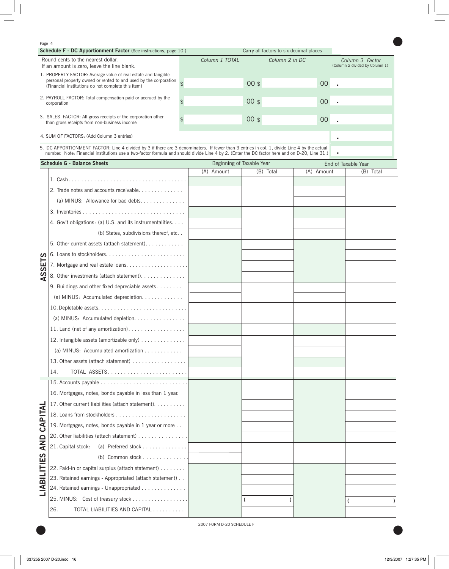#### Page 4

| <b>Schedule F - DC Apportionment Factor</b> (See instructions, page 10.)                                                                                                                               |                                                                                                                                                                                                                                                                                              | Carry all factors to six decimal places |                                                   |  |  |  |  |
|--------------------------------------------------------------------------------------------------------------------------------------------------------------------------------------------------------|----------------------------------------------------------------------------------------------------------------------------------------------------------------------------------------------------------------------------------------------------------------------------------------------|-----------------------------------------|---------------------------------------------------|--|--|--|--|
| Round cents to the nearest dollar.<br>If an amount is zero, leave the line blank.                                                                                                                      | Column 1 TOTAL                                                                                                                                                                                                                                                                               | Column 2 in DC                          | Column 3 Factor<br>(Column 2 divided by Column 1) |  |  |  |  |
| 1. PROPERTY FACTOR: Average value of real estate and tangible<br>personal property owned or rented to and used by the corporation $\overline{a}$<br>(Financial institutions do not complete this item) |                                                                                                                                                                                                                                                                                              | $00$ \$                                 | 00 <sub>o</sub>                                   |  |  |  |  |
| 2. PAYROLL FACTOR: Total compensation paid or accrued by the<br>corporation                                                                                                                            |                                                                                                                                                                                                                                                                                              | $00$ \$                                 | 00 <sub>o</sub>                                   |  |  |  |  |
| 3. SALES FACTOR: All gross receipts of the corporation other<br>than gross receipts from non-business income                                                                                           |                                                                                                                                                                                                                                                                                              | $00$ \$                                 | $00\,$                                            |  |  |  |  |
| 4. SUM OF FACTORS: (Add Column 3 entries)                                                                                                                                                              |                                                                                                                                                                                                                                                                                              |                                         |                                                   |  |  |  |  |
|                                                                                                                                                                                                        | 5. DC APPORTIONMENT FACTOR: Line 4 divided by 3 if there are 3 denominators. If fewer than 3 entries in col. 1, divide Line 4 by the actual<br>number. Note: Financial institutions use a two-factor formula and should divide Line 4 by 2. (Enter the DC factor here and on D-20, Line 31.) |                                         |                                                   |  |  |  |  |

 $\bullet$ 

| <b>Schedule G - Balance Sheets</b>                                   | Beginning of Taxable Year |           | End of Taxable Year |           |  |
|----------------------------------------------------------------------|---------------------------|-----------|---------------------|-----------|--|
|                                                                      | (A) Amount                | (B) Total | (A) Amount          | (B) Total |  |
|                                                                      |                           |           |                     |           |  |
| 2. Trade notes and accounts receivable                               |                           |           |                     |           |  |
| (a) MINUS: Allowance for bad debts.                                  |                           |           |                     |           |  |
|                                                                      |                           |           |                     |           |  |
| 4. Gov't obligations: (a) U.S. and its instrumentalities.            |                           |           |                     |           |  |
| (b) States, subdivisions thereof, etc                                |                           |           |                     |           |  |
| 5. Other current assets (attach statement)                           |                           |           |                     |           |  |
|                                                                      |                           |           |                     |           |  |
| <b>SETS</b>                                                          |                           |           |                     |           |  |
| S<br>8. Other investments (attach statement).<br>⋖                   |                           |           |                     |           |  |
| 9. Buildings and other fixed depreciable assets                      |                           |           |                     |           |  |
| (a) MINUS: Accumulated depreciation.                                 |                           |           |                     |           |  |
|                                                                      |                           |           |                     |           |  |
| (a) MINUS: Accumulated depletion.                                    |                           |           |                     |           |  |
| 11. Land (net of any amortization).                                  |                           |           |                     |           |  |
| 12. Intangible assets (amortizable only)                             |                           |           |                     |           |  |
| (a) MINUS: Accumulated amortization $\ldots \ldots \ldots$           |                           |           |                     |           |  |
| 13. Other assets (attach statement)                                  |                           |           |                     |           |  |
| TOTAL ASSETS<br>14.                                                  |                           |           |                     |           |  |
|                                                                      |                           |           |                     |           |  |
| 16. Mortgages, notes, bonds payable in less than 1 year.             |                           |           |                     |           |  |
| 17. Other current liabilities (attach statement).                    |                           |           |                     |           |  |
| CAPITAL                                                              |                           |           |                     |           |  |
| 19. Mortgages, notes, bonds payable in 1 year or more                |                           |           |                     |           |  |
| 20. Other liabilities (attach statement)                             |                           |           |                     |           |  |
| <b>AND</b><br>21. Capital stock:                                     |                           |           |                     |           |  |
| ဟ                                                                    |                           |           |                     |           |  |
| 22. Paid-in or capital surplus (attach statement)                    |                           |           |                     |           |  |
| LIABILITI<br>23. Retained earnings - Appropriated (attach statement) |                           |           |                     |           |  |
| 24. Retained earnings - Unappropriated                               |                           |           |                     |           |  |
| 25. MINUS: Cost of treasury stock                                    |                           |           |                     |           |  |
| TOTAL LIABILITIES AND CAPITAL<br>26.                                 |                           |           |                     |           |  |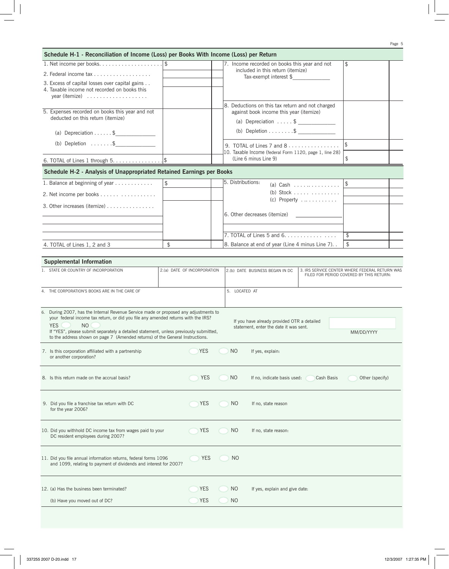| Schedule H-1 - Reconciliation of Income (Loss) per Books With Income (Loss) per Return                                               |                |                             |                   |                                                                |                                                         |                                                                                            |  |
|--------------------------------------------------------------------------------------------------------------------------------------|----------------|-----------------------------|-------------------|----------------------------------------------------------------|---------------------------------------------------------|--------------------------------------------------------------------------------------------|--|
|                                                                                                                                      |                |                             |                   | 7. Income recorded on books this year and not                  |                                                         | \$                                                                                         |  |
| 2. Federal income tax                                                                                                                |                |                             |                   | included in this return (itemize)<br>$Tax-exempt$ interest $$$ |                                                         |                                                                                            |  |
| 3. Excess of capital losses over capital gains                                                                                       |                |                             |                   |                                                                |                                                         |                                                                                            |  |
| 4. Taxable income not recorded on books this<br>year (itemize) $\ldots \ldots \ldots \ldots$                                         |                |                             |                   |                                                                |                                                         |                                                                                            |  |
|                                                                                                                                      |                |                             |                   | 8. Deductions on this tax return and not charged               |                                                         |                                                                                            |  |
| 5. Expenses recorded on books this year and not                                                                                      |                |                             |                   | against book income this year (itemize)                        |                                                         |                                                                                            |  |
| deducted on this return (itemize)                                                                                                    |                |                             |                   |                                                                |                                                         |                                                                                            |  |
| (a) Depreciation \$                                                                                                                  |                |                             |                   | (b) Depletion \$                                               |                                                         |                                                                                            |  |
| (b) Depletion $$ \$                                                                                                                  |                |                             |                   | 9. TOTAL of Lines 7 and $8 \ldots \ldots \ldots \ldots$        |                                                         | $$\mathfrak{F}$$                                                                           |  |
|                                                                                                                                      |                |                             |                   |                                                                | 10. Taxable Income (federal Form 1120, page 1, line 28) |                                                                                            |  |
|                                                                                                                                      |                |                             |                   | (Line 6 minus Line 9)                                          |                                                         |                                                                                            |  |
| Schedule H-2 - Analysis of Unappropriated Retained Earnings per Books                                                                |                |                             |                   |                                                                |                                                         |                                                                                            |  |
| 1. Balance at beginning of year                                                                                                      | $\mathfrak{L}$ |                             | 5. Distributions: |                                                                | (a) Cash $\ldots \ldots \ldots \ldots$                  | $\sqrt{2}$                                                                                 |  |
| 2. Net income per books                                                                                                              |                |                             |                   |                                                                | (b) Stock $\ldots \ldots \ldots \ldots$                 |                                                                                            |  |
| 3. Other increases (itemize)                                                                                                         |                |                             |                   |                                                                | $(c)$ Property                                          |                                                                                            |  |
|                                                                                                                                      |                |                             |                   | 6. Other decreases (itemize)                                   |                                                         |                                                                                            |  |
|                                                                                                                                      |                |                             |                   |                                                                |                                                         |                                                                                            |  |
|                                                                                                                                      |                |                             |                   |                                                                |                                                         | \$                                                                                         |  |
| 4. TOTAL of Lines 1, 2 and 3                                                                                                         | $\frac{1}{2}$  |                             |                   | 8. Balance at end of year (Line 4 minus Line 7). .             |                                                         | \$                                                                                         |  |
|                                                                                                                                      |                |                             |                   |                                                                |                                                         |                                                                                            |  |
| <b>Supplemental Information</b>                                                                                                      |                |                             |                   |                                                                |                                                         |                                                                                            |  |
| 1. STATE OR COUNTRY OF INCORPORATION                                                                                                 |                | 2.(a) DATE OF INCORPORATION |                   | 2.(b) DATE BUSINESS BEGAN IN DC                                |                                                         | 3. IRS SERVICE CENTER WHERE FEDERAL RETURN WAS<br>FILED FOR PERIOD COVERED BY THIS RETURN: |  |
|                                                                                                                                      |                |                             |                   |                                                                |                                                         |                                                                                            |  |
| 4. THE CORPORATION'S BOOKS ARE IN THE CARE OF                                                                                        |                |                             | 5. LOCATED AT     |                                                                |                                                         |                                                                                            |  |
|                                                                                                                                      |                |                             |                   |                                                                |                                                         |                                                                                            |  |
| 6. During 2007, has the Internal Revenue Service made or proposed any adjustments to                                                 |                |                             |                   |                                                                |                                                         |                                                                                            |  |
| your federal income tax return, or did you file any amended returns with the IRS?<br>N <sub>O</sub><br><b>YES</b>                    |                |                             |                   | If you have already provided OTR a detailed                    |                                                         |                                                                                            |  |
| If "YES", please submit separately a detailed statement, unless previously submitted,                                                |                |                             |                   | statement, enter the date it was sent.                         |                                                         | MM/DD/YYYY                                                                                 |  |
| to the address shown on page 7 (Amended returns) of the General Instructions.                                                        |                |                             |                   |                                                                |                                                         |                                                                                            |  |
| 7. Is this corporation affiliated with a partnership                                                                                 |                | <b>YES</b>                  | N <sub>O</sub>    | If yes, explain:                                               |                                                         |                                                                                            |  |
| or another corporation?                                                                                                              |                |                             |                   |                                                                |                                                         |                                                                                            |  |
|                                                                                                                                      |                |                             |                   |                                                                |                                                         |                                                                                            |  |
| 8. Is this return made on the accrual basis?                                                                                         |                | <b>YES</b>                  | NO                | If no, indicate basis used:                                    | Cash Basis                                              | Other (specify)                                                                            |  |
|                                                                                                                                      |                |                             |                   |                                                                |                                                         |                                                                                            |  |
| 9. Did you file a franchise tax return with DC                                                                                       |                | <b>YES</b>                  | NO.               | If no, state reason                                            |                                                         |                                                                                            |  |
| for the year 2006?                                                                                                                   |                |                             |                   |                                                                |                                                         |                                                                                            |  |
|                                                                                                                                      |                |                             |                   |                                                                |                                                         |                                                                                            |  |
| 10. Did you withhold DC income tax from wages paid to your                                                                           |                | <b>YES</b>                  | N <sub>O</sub>    | If no, state reason:                                           |                                                         |                                                                                            |  |
| DC resident employees during 2007?                                                                                                   |                |                             |                   |                                                                |                                                         |                                                                                            |  |
|                                                                                                                                      |                |                             |                   |                                                                |                                                         |                                                                                            |  |
| 11. Did you file annual information returns, federal forms 1096<br>and 1099, relating to payment of dividends and interest for 2007? |                | <b>YES</b>                  | N <sub>O</sub>    |                                                                |                                                         |                                                                                            |  |
|                                                                                                                                      |                |                             |                   |                                                                |                                                         |                                                                                            |  |
|                                                                                                                                      |                |                             |                   |                                                                |                                                         |                                                                                            |  |
| 12. (a) Has the business been terminated?                                                                                            |                | YES                         | NO                | If yes, explain and give date:                                 |                                                         |                                                                                            |  |
| (b) Have you moved out of DC?                                                                                                        |                | <b>YES</b>                  | N <sub>O</sub>    |                                                                |                                                         |                                                                                            |  |
|                                                                                                                                      |                |                             |                   |                                                                |                                                         |                                                                                            |  |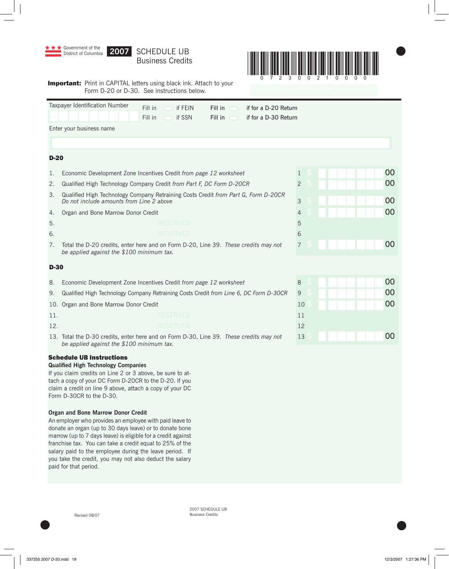

2007 SCHEDULE UB Revised 08/07 Business Credits

 $\bullet$  later than  $\bullet$  later than  $\bullet$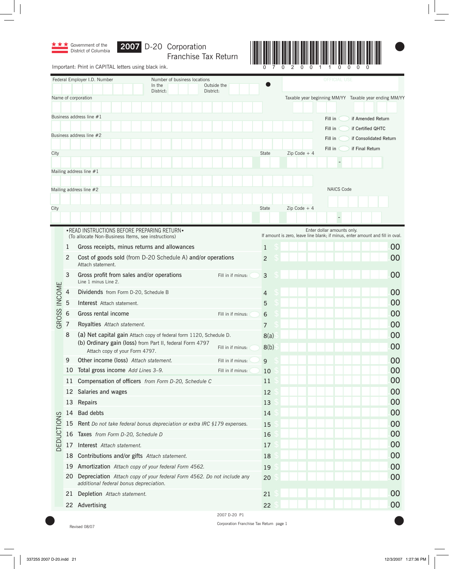

Franchise Tax Return



Important: Print in CAPITAL letters using black ink.

|                   |            | Federal Employer I.D. Number                                                                                     | Number of business locations |                          | <b>OFFICIAL USE</b> |  |                                                                                                             |    |
|-------------------|------------|------------------------------------------------------------------------------------------------------------------|------------------------------|--------------------------|---------------------|--|-------------------------------------------------------------------------------------------------------------|----|
|                   |            | In the<br>District:                                                                                              |                              | Outside the<br>District: |                     |  |                                                                                                             |    |
|                   |            | Name of corporation                                                                                              |                              |                          |                     |  | Taxable year beginning MM/YY Taxable year ending MM/YY                                                      |    |
|                   |            |                                                                                                                  |                              |                          |                     |  |                                                                                                             |    |
|                   |            | Business address line #1                                                                                         |                              |                          |                     |  | Fill in<br>if Amended Return                                                                                |    |
|                   |            |                                                                                                                  |                              |                          |                     |  | Fill in<br>if Certified QHTC                                                                                |    |
|                   |            | Business address line #2                                                                                         |                              |                          |                     |  | Fill in<br>if Consolidated Return                                                                           |    |
| City              |            |                                                                                                                  |                              |                          | State               |  | Fill in<br>if Final Return<br>$Zip Code + 4$                                                                |    |
|                   |            |                                                                                                                  |                              |                          |                     |  |                                                                                                             |    |
|                   |            | Mailing address line #1                                                                                          |                              |                          |                     |  |                                                                                                             |    |
|                   |            |                                                                                                                  |                              |                          |                     |  |                                                                                                             |    |
|                   |            | Mailing address line #2                                                                                          |                              |                          |                     |  | <b>NAICS Code</b>                                                                                           |    |
|                   |            |                                                                                                                  |                              |                          |                     |  |                                                                                                             |    |
| City              |            |                                                                                                                  |                              |                          | State               |  | Zip Code $+4$                                                                                               |    |
|                   |            |                                                                                                                  |                              |                          |                     |  |                                                                                                             |    |
|                   |            | • READ INSTRUCTIONS BEFORE PREPARING RETURN •<br>(To allocate Non-Business Items, see instructions)              |                              |                          |                     |  | Enter dollar amounts only.<br>If amount is zero, leave line blank; if minus, enter amount and fill in oval. |    |
|                   | 1          | Gross receipts, minus returns and allowances                                                                     |                              |                          | $\mathbf{1}$        |  |                                                                                                             | 00 |
|                   | 2          | Cost of goods sold (from D-20 Schedule A) and/or operations<br>Attach statement.                                 |                              |                          | $\overline{2}$      |  |                                                                                                             | 00 |
|                   | 3          | Gross profit from sales and/or operations<br>Line 1 minus Line 2.                                                |                              | Fill in if minus:        | $\mathsf{3}$        |  |                                                                                                             | 00 |
|                   | 4          | Dividends from Form D-20, Schedule B                                                                             |                              |                          | 4                   |  |                                                                                                             | 00 |
|                   | 5          | Interest Attach statement.                                                                                       |                              |                          | 5                   |  |                                                                                                             | 00 |
|                   | $\sqrt{6}$ | Gross rental income                                                                                              |                              | Fill in if minus:        | 6                   |  |                                                                                                             | 00 |
| GROSS INCOME      | 7          | Royalties Attach statement.                                                                                      |                              |                          | 7                   |  |                                                                                                             | 00 |
|                   | 8          | (a) Net capital gain Attach copy of federal form 1120, Schedule D.                                               |                              |                          | 8(a)                |  |                                                                                                             | 00 |
|                   |            | (b) Ordinary gain (loss) from Part II, federal Form 4797<br>Attach copy of your Form 4797.                       |                              | Fill in if minus:        | 8(b)                |  |                                                                                                             | 00 |
|                   | 9          | Other income (loss) Attach statement.                                                                            |                              | Fill in if minus:        | 9                   |  |                                                                                                             | 00 |
|                   |            | 10 Total gross income Add Lines 3-9.                                                                             |                              | Fill in if minus:        | 10                  |  |                                                                                                             | 00 |
|                   |            | 11 Compensation of officers from Form D-20, Schedule C                                                           |                              |                          | 11                  |  |                                                                                                             | 00 |
|                   |            | 12 Salaries and wages                                                                                            |                              |                          | 12                  |  |                                                                                                             | 00 |
|                   |            | 13 Repairs                                                                                                       |                              |                          | 13                  |  |                                                                                                             | 00 |
|                   | 14         | <b>Bad debts</b>                                                                                                 |                              |                          | 14                  |  |                                                                                                             | 00 |
|                   | 15         | Rent Do not take federal bonus depreciation or extra IRC §179 expenses.                                          |                              |                          | 15                  |  |                                                                                                             | 00 |
|                   |            | 16 Taxes from Form D-20, Schedule D                                                                              |                              |                          | 16                  |  |                                                                                                             | 00 |
| <b>DEDUCTIONS</b> | 17         | Interest Attach statement.                                                                                       |                              |                          | 17                  |  |                                                                                                             | 00 |
|                   | 18         | Contributions and/or gifts Attach statement.                                                                     |                              |                          | 18                  |  |                                                                                                             | 00 |
|                   | 19         | Amortization Attach copy of your federal Form 4562.                                                              |                              |                          | 19                  |  |                                                                                                             | 00 |
|                   | 20         | Depreciation Attach copy of your federal Form 4562. Do not include any<br>additional federal bonus depreciation. |                              |                          | 20                  |  |                                                                                                             | 00 |
|                   | 21         | Depletion Attach statement.                                                                                      |                              |                          | 21                  |  |                                                                                                             | 00 |
|                   |            | 22 Advertising                                                                                                   |                              |                          | 22                  |  |                                                                                                             | 00 |
|                   |            |                                                                                                                  |                              | 2007 D-20 P1             |                     |  |                                                                                                             |    |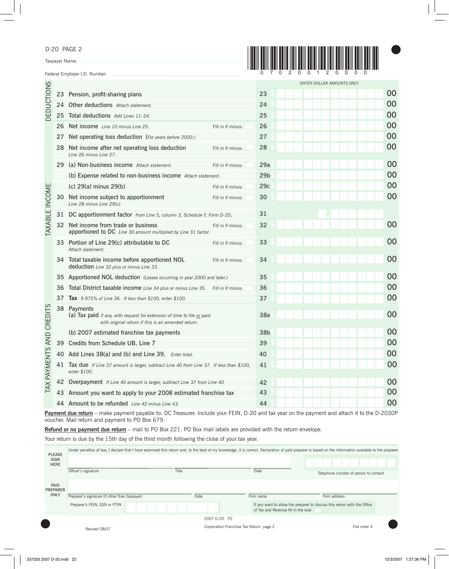D-20 PAGE 2

Taxpayer Name:

Federal Employer I.D. Number:



|                       |                                                                           |                                                                                                                                              |                   |                 | ENTER DOLLAR AMOUNTS ONLY |    |
|-----------------------|---------------------------------------------------------------------------|----------------------------------------------------------------------------------------------------------------------------------------------|-------------------|-----------------|---------------------------|----|
|                       |                                                                           | 23 Pension, profit-sharing plans                                                                                                             |                   | 23              |                           | 00 |
| <b>DEDUCTIONS</b>     |                                                                           | 24 Other deductions Attach statement.                                                                                                        |                   | 24              |                           | 00 |
|                       | 25                                                                        | Total deductions Add Lines 11-24.                                                                                                            | 25                |                 | 00                        |    |
|                       | 26                                                                        | Net income Line 10 minus Line 25.                                                                                                            | Fill in if minus: | 26              |                           | 00 |
|                       | 27                                                                        | Net operating loss deduction (For years before 2000.)                                                                                        |                   | 27              |                           | 00 |
|                       | 28                                                                        | Net income after net operating loss deduction<br>Line 26 minus Line 27.                                                                      | Fill in if minus: | 28              |                           | 00 |
|                       | 29                                                                        | (a) Non-business income Attach statement.                                                                                                    | Fill in if minus: | 29a             |                           | 00 |
|                       |                                                                           | (b) Expense related to non-business income Attach statement.                                                                                 |                   | 29 <sub>b</sub> |                           | 00 |
|                       |                                                                           | (c) 29(a) minus 29(b)                                                                                                                        | Fill in if minus: | 29c             |                           | 00 |
| <b>TAXABLE INCOME</b> | 30                                                                        | Net income subject to apportionment<br>Line 28 minus Line 29(c).                                                                             | Fill in if minus: | 30              |                           | 00 |
|                       | 31                                                                        | DC apportionment factor from Line 5, column 3, Schedule F, Form D-20.                                                                        |                   | 31              |                           |    |
|                       | 32                                                                        | Net income from trade or business<br>apportioned to DC Line 30 amount multiplied by Line 31 factor.                                          | Fill in if minus: | 32              |                           | 00 |
|                       | 33                                                                        | Portion of Line 29(c) attributable to DC<br>Attach statement.                                                                                | Fill in if minus: | 33              |                           | 00 |
|                       |                                                                           | 34 Total taxable income before apportioned NOL<br>deduction Line 32 plus or minus Line 33.                                                   | Fill in if minus: | 34              |                           | 00 |
|                       | 35                                                                        | Apportioned NOL deduction (Losses occurring in year 2000 and later.)                                                                         |                   | 35              |                           | 00 |
|                       | 36                                                                        | Total District taxable income Line 34 plus or minus Line 35. Fill in if minus:                                                               |                   | 36              |                           | 00 |
|                       | 37                                                                        | <b>Tax</b> 9.975% of Line 36. If less than \$100, enter \$100.                                                                               |                   | 37              |                           | 00 |
| AND CREDITS           |                                                                           | 38 Payments<br>(a) Tax paid if any, with request for extension of time to file or paid<br>with original return if this is an amended return. |                   | 38a             |                           | 00 |
|                       |                                                                           | (b) 2007 estimated franchise tax payments                                                                                                    |                   | 38b             |                           | 00 |
|                       |                                                                           | 39 Credits from Schedule UB, Line 7                                                                                                          |                   | 39              |                           | 00 |
|                       |                                                                           | 40 Add Lines 38(a) and (b) and Line 39. Enter total.                                                                                         |                   | 40              |                           | 00 |
| AX PAYMENTS           | 41                                                                        | Tax due If Line 37 amount is larger, subtract Line 40 from Line 37. If less than \$100,<br>enter \$100.                                      |                   | 41              |                           | 00 |
|                       | 42 Overpayment If Line 40 amount is larger, subtract Line 37 from Line 40 |                                                                                                                                              |                   |                 |                           | 00 |
|                       |                                                                           | 43 Amount you want to apply to your 2008 estimated franchise tax                                                                             |                   | 43              |                           | 00 |
|                       |                                                                           | 44 Amount to be refunded Line 42 minus Line 43.                                                                                              |                   | 44              |                           | 00 |

Payment due return - make payment payable to: DC Treasurer. Include your FEIN, D-20 and tax year on the payment and attach it to the D-2030P voucher. Mail return and payment to PO Box 679.

**Refund or no payment due return** – mail to PO Box 221. PO Box mail labels are provided with the return envelope.

Your return is due by the 15th day of the third month following the close of your tax year.

| <b>PLEASE</b><br>SIGN<br><b>HERE</b> |                                               | Under penalties of law, I declare that I have examined this return and, to the best of my knowledge, it is correct. Declaration of paid preparer is based on the information available to the preparer. |      |                                         |                                      |                                                                          |                                       |  |
|--------------------------------------|-----------------------------------------------|---------------------------------------------------------------------------------------------------------------------------------------------------------------------------------------------------------|------|-----------------------------------------|--------------------------------------|--------------------------------------------------------------------------|---------------------------------------|--|
|                                      | Officer's signature                           | Title                                                                                                                                                                                                   |      |                                         | Date                                 |                                                                          | Telephone number of person to contact |  |
| PAID<br><b>PREPARER</b>              |                                               |                                                                                                                                                                                                         |      |                                         |                                      |                                                                          |                                       |  |
| ONLY                                 | Preparer's signature (if other than taxpayer) |                                                                                                                                                                                                         | Date |                                         | Firm name                            | Firm address                                                             |                                       |  |
|                                      | Preparer's FEIN, SSN or PTIN                  |                                                                                                                                                                                                         |      |                                         | of Tax and Revenue fill in the oval. | If you want to allow the preparer to discuss this return with the Office |                                       |  |
|                                      |                                               |                                                                                                                                                                                                         |      | 2007 D-20 P2                            |                                      |                                                                          |                                       |  |
|                                      | Revised 08/07                                 |                                                                                                                                                                                                         |      | Corporation Franchise Tax Return page 2 |                                      |                                                                          | File order 4                          |  |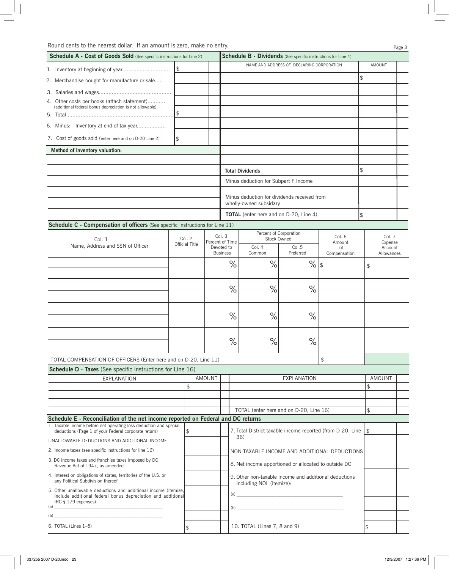| <b>Schedule A - Cost of Goods Sold</b> (See specific instructions for Line 2)                                                                                                                                                                                                                                                                                      |     |                |                                              |                                                                                   | <b>Schedule B - Dividends</b> (See specific instructions for Line 4)                                                                                                                                                                                                                                                                                               |                                           |                    |                           |                       |  |
|--------------------------------------------------------------------------------------------------------------------------------------------------------------------------------------------------------------------------------------------------------------------------------------------------------------------------------------------------------------------|-----|----------------|----------------------------------------------|-----------------------------------------------------------------------------------|--------------------------------------------------------------------------------------------------------------------------------------------------------------------------------------------------------------------------------------------------------------------------------------------------------------------------------------------------------------------|-------------------------------------------|--------------------|---------------------------|-----------------------|--|
|                                                                                                                                                                                                                                                                                                                                                                    |     |                |                                              |                                                                                   |                                                                                                                                                                                                                                                                                                                                                                    | NAME AND ADDRESS OF DECLARING CORPORATION |                    |                           | AMOUNT                |  |
| 2. Merchandise bought for manufacture or sale                                                                                                                                                                                                                                                                                                                      |     |                |                                              |                                                                                   |                                                                                                                                                                                                                                                                                                                                                                    |                                           |                    | \$                        |                       |  |
|                                                                                                                                                                                                                                                                                                                                                                    |     |                |                                              |                                                                                   |                                                                                                                                                                                                                                                                                                                                                                    |                                           |                    |                           |                       |  |
| 4. Other costs per books (attach statement)                                                                                                                                                                                                                                                                                                                        |     |                |                                              |                                                                                   |                                                                                                                                                                                                                                                                                                                                                                    |                                           |                    |                           |                       |  |
| (additional federal bonus depreciation is not allowable)                                                                                                                                                                                                                                                                                                           | \$. |                |                                              |                                                                                   |                                                                                                                                                                                                                                                                                                                                                                    |                                           |                    |                           |                       |  |
| 6. Minus: Inventory at end of tax year                                                                                                                                                                                                                                                                                                                             |     |                |                                              |                                                                                   |                                                                                                                                                                                                                                                                                                                                                                    |                                           |                    |                           |                       |  |
|                                                                                                                                                                                                                                                                                                                                                                    |     |                |                                              |                                                                                   |                                                                                                                                                                                                                                                                                                                                                                    |                                           |                    |                           |                       |  |
| 7. Cost of goods sold (enter here and on D-20 Line 2)                                                                                                                                                                                                                                                                                                              | \$  |                |                                              |                                                                                   |                                                                                                                                                                                                                                                                                                                                                                    |                                           |                    |                           |                       |  |
| Method of inventory valuation:                                                                                                                                                                                                                                                                                                                                     |     |                |                                              |                                                                                   |                                                                                                                                                                                                                                                                                                                                                                    |                                           |                    |                           |                       |  |
|                                                                                                                                                                                                                                                                                                                                                                    |     |                |                                              |                                                                                   | <b>Total Dividends</b>                                                                                                                                                                                                                                                                                                                                             |                                           |                    | \$                        |                       |  |
|                                                                                                                                                                                                                                                                                                                                                                    |     |                |                                              |                                                                                   | Minus deduction for Subpart F Income                                                                                                                                                                                                                                                                                                                               |                                           |                    |                           |                       |  |
|                                                                                                                                                                                                                                                                                                                                                                    |     |                |                                              |                                                                                   |                                                                                                                                                                                                                                                                                                                                                                    |                                           |                    |                           |                       |  |
|                                                                                                                                                                                                                                                                                                                                                                    |     |                |                                              |                                                                                   | Minus deduction for dividends received from<br>wholly-owned subsidary                                                                                                                                                                                                                                                                                              |                                           |                    |                           |                       |  |
|                                                                                                                                                                                                                                                                                                                                                                    |     |                |                                              |                                                                                   | <b>TOTAL</b> (enter here and on D-20, Line 4)                                                                                                                                                                                                                                                                                                                      |                                           |                    | \$                        |                       |  |
| Schedule C - Compensation of officers (See specific instructions for Line 11)                                                                                                                                                                                                                                                                                      |     |                |                                              |                                                                                   |                                                                                                                                                                                                                                                                                                                                                                    |                                           |                    |                           |                       |  |
| Col. 1                                                                                                                                                                                                                                                                                                                                                             |     | Col. 2         |                                              | Col. 3<br>Percent of Time                                                         | Percent of Corporation<br>Stock Owned                                                                                                                                                                                                                                                                                                                              |                                           | Col. 6<br>Amount   |                           | Col. 7<br>Expense     |  |
| Name, Address and SSN of Officer                                                                                                                                                                                                                                                                                                                                   |     | Official Title |                                              | Devoted to<br><b>Business</b>                                                     | Col. 4<br>Common                                                                                                                                                                                                                                                                                                                                                   | Col.5<br>Preferred                        | of<br>Compensation |                           | Account<br>Allowances |  |
|                                                                                                                                                                                                                                                                                                                                                                    |     |                |                                              | $\%$                                                                              | %                                                                                                                                                                                                                                                                                                                                                                  | $\%$                                      | 1\$                | $\boldsymbol{\mathsf{S}}$ |                       |  |
|                                                                                                                                                                                                                                                                                                                                                                    |     |                |                                              |                                                                                   |                                                                                                                                                                                                                                                                                                                                                                    |                                           |                    |                           |                       |  |
|                                                                                                                                                                                                                                                                                                                                                                    |     |                |                                              | $\%$                                                                              | %                                                                                                                                                                                                                                                                                                                                                                  | $\%$                                      |                    |                           |                       |  |
|                                                                                                                                                                                                                                                                                                                                                                    |     |                |                                              | $\%$                                                                              | %                                                                                                                                                                                                                                                                                                                                                                  | $\%$                                      |                    |                           |                       |  |
|                                                                                                                                                                                                                                                                                                                                                                    |     |                |                                              |                                                                                   |                                                                                                                                                                                                                                                                                                                                                                    |                                           |                    |                           |                       |  |
|                                                                                                                                                                                                                                                                                                                                                                    |     |                |                                              | $\%$                                                                              | %                                                                                                                                                                                                                                                                                                                                                                  | $\%$                                      |                    |                           |                       |  |
| TOTAL COMPENSATION OF OFFICERS (Enter here and on D-20, Line 11)                                                                                                                                                                                                                                                                                                   |     |                |                                              |                                                                                   |                                                                                                                                                                                                                                                                                                                                                                    |                                           | \$                 |                           |                       |  |
| Schedule D - Taxes (See specific instructions for Line 16)                                                                                                                                                                                                                                                                                                         |     |                |                                              |                                                                                   |                                                                                                                                                                                                                                                                                                                                                                    |                                           |                    |                           |                       |  |
| <b>EXPLANATION</b>                                                                                                                                                                                                                                                                                                                                                 |     | $\mathfrak{L}$ | AMOUNT                                       |                                                                                   |                                                                                                                                                                                                                                                                                                                                                                    | <b>EXPLANATION</b>                        |                    | \$                        | AMOUNT                |  |
|                                                                                                                                                                                                                                                                                                                                                                    |     |                |                                              |                                                                                   |                                                                                                                                                                                                                                                                                                                                                                    |                                           |                    |                           |                       |  |
|                                                                                                                                                                                                                                                                                                                                                                    |     |                |                                              |                                                                                   |                                                                                                                                                                                                                                                                                                                                                                    |                                           |                    |                           |                       |  |
| Schedule E - Reconciliation of the net income reported on Federal and DC returns                                                                                                                                                                                                                                                                                   |     |                |                                              |                                                                                   | TOTAL (enter here and on D-20, Line 16)                                                                                                                                                                                                                                                                                                                            |                                           |                    | \$                        |                       |  |
| 1. Taxable income before net operating loss deduction and special<br>deductions (Page 1 of your Federal corporate return)                                                                                                                                                                                                                                          |     | \$             |                                              |                                                                                   | 7. Total District taxable income reported (from D-20, Line                                                                                                                                                                                                                                                                                                         |                                           |                    | $\mathfrak{P}$            |                       |  |
| UNALLOWABLE DEDUCTIONS AND ADDITIONAL INCOME                                                                                                                                                                                                                                                                                                                       |     |                |                                              |                                                                                   | 36)                                                                                                                                                                                                                                                                                                                                                                |                                           |                    |                           |                       |  |
| 2. Income taxes (see specific instructions for line 16)                                                                                                                                                                                                                                                                                                            |     |                | NON-TAXABLE INCOME AND ADDITIONAL DEDUCTIONS |                                                                                   |                                                                                                                                                                                                                                                                                                                                                                    |                                           |                    |                           |                       |  |
| 3. DC income taxes and franchise taxes imposed by DC<br>Revenue Act of 1947, as amended                                                                                                                                                                                                                                                                            |     |                |                                              | 8. Net income apportioned or allocated to outside DC                              |                                                                                                                                                                                                                                                                                                                                                                    |                                           |                    |                           |                       |  |
| 4. Interest on obligations of states, territories of the U.S. or<br>any Political Subdivision thereof                                                                                                                                                                                                                                                              |     |                |                                              | 9. Other non-taxable income and additional deductions<br>including NOL (itemize): |                                                                                                                                                                                                                                                                                                                                                                    |                                           |                    |                           |                       |  |
| 5. Other unallowable deductions and additional income (itemize,<br>include additional federal bonus depreciation and additional<br>IRC § 179 expenses)                                                                                                                                                                                                             |     |                |                                              |                                                                                   | $\begin{picture}(150,10) \put(0,0){\vector(1,0){100}} \put(15,0){\vector(1,0){100}} \put(15,0){\vector(1,0){100}} \put(15,0){\vector(1,0){100}} \put(15,0){\vector(1,0){100}} \put(15,0){\vector(1,0){100}} \put(15,0){\vector(1,0){100}} \put(15,0){\vector(1,0){100}} \put(15,0){\vector(1,0){100}} \put(15,0){\vector(1,0){100}} \put(15,0){\vector(1,0){100}}$ |                                           |                    |                           |                       |  |
| $\begin{picture}(150,10) \put(0,0){\vector(1,0){100}} \put(15,0){\vector(1,0){100}} \put(15,0){\vector(1,0){100}} \put(15,0){\vector(1,0){100}} \put(15,0){\vector(1,0){100}} \put(15,0){\vector(1,0){100}} \put(15,0){\vector(1,0){100}} \put(15,0){\vector(1,0){100}} \put(15,0){\vector(1,0){100}} \put(15,0){\vector(1,0){100}} \put(15,0){\vector(1,0){100}}$ |     |                |                                              |                                                                                   | $\tag{b}$                                                                                                                                                                                                                                                                                                                                                          |                                           |                    |                           |                       |  |
| (b)                                                                                                                                                                                                                                                                                                                                                                |     |                |                                              |                                                                                   |                                                                                                                                                                                                                                                                                                                                                                    |                                           |                    |                           |                       |  |
| 6. TOTAL (Lines 1-5)                                                                                                                                                                                                                                                                                                                                               |     | \$             |                                              |                                                                                   | 10. TOTAL (Lines 7, 8 and 9)                                                                                                                                                                                                                                                                                                                                       |                                           |                    | \$                        |                       |  |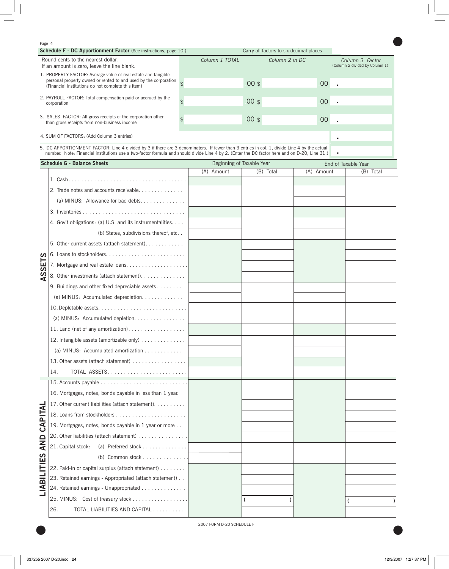#### Page 4

| <b>Schedule F - DC Apportionment Factor</b> (See instructions, page 10.)                                                                                                                                                                                                                     | Carry all factors to six decimal places |                |                                                   |
|----------------------------------------------------------------------------------------------------------------------------------------------------------------------------------------------------------------------------------------------------------------------------------------------|-----------------------------------------|----------------|---------------------------------------------------|
| Round cents to the nearest dollar.<br>If an amount is zero, leave the line blank.                                                                                                                                                                                                            | Column 1 TOTAL                          | Column 2 in DC | Column 3 Factor<br>(Column 2 divided by Column 1) |
| 1. PROPERTY FACTOR: Average value of real estate and tangible<br>personal property owned or rented to and used by the corporation $\overline{a}$<br>(Financial institutions do not complete this item)                                                                                       |                                         | $00$ \$        | 00 <sub>o</sub>                                   |
| 2. PAYROLL FACTOR: Total compensation paid or accrued by the<br>corporation                                                                                                                                                                                                                  |                                         | $00$ \$        | 00 <sub>o</sub>                                   |
| 3. SALES FACTOR: All gross receipts of the corporation other<br>than gross receipts from non-business income                                                                                                                                                                                 |                                         | $00$ \$        | $00\,$                                            |
| 4. SUM OF FACTORS: (Add Column 3 entries)                                                                                                                                                                                                                                                    |                                         |                |                                                   |
| 5. DC APPORTIONMENT FACTOR: Line 4 divided by 3 if there are 3 denominators. If fewer than 3 entries in col. 1, divide Line 4 by the actual<br>number. Note: Financial institutions use a two-factor formula and should divide Line 4 by 2. (Enter the DC factor here and on D-20, Line 31.) |                                         |                |                                                   |

 $\bullet$ 

| <b>Schedule G - Balance Sheets</b>                                   | Beginning of Taxable Year |           | End of Taxable Year |           |  |
|----------------------------------------------------------------------|---------------------------|-----------|---------------------|-----------|--|
|                                                                      | (A) Amount                | (B) Total | (A) Amount          | (B) Total |  |
|                                                                      |                           |           |                     |           |  |
| 2. Trade notes and accounts receivable                               |                           |           |                     |           |  |
| (a) MINUS: Allowance for bad debts.                                  |                           |           |                     |           |  |
|                                                                      |                           |           |                     |           |  |
| 4. Gov't obligations: (a) U.S. and its instrumentalities.            |                           |           |                     |           |  |
| (b) States, subdivisions thereof, etc                                |                           |           |                     |           |  |
| 5. Other current assets (attach statement)                           |                           |           |                     |           |  |
|                                                                      |                           |           |                     |           |  |
| <b>SETS</b>                                                          |                           |           |                     |           |  |
| S<br>8. Other investments (attach statement).<br>⋖                   |                           |           |                     |           |  |
| 9. Buildings and other fixed depreciable assets                      |                           |           |                     |           |  |
| (a) MINUS: Accumulated depreciation.                                 |                           |           |                     |           |  |
|                                                                      |                           |           |                     |           |  |
| (a) MINUS: Accumulated depletion.                                    |                           |           |                     |           |  |
| 11. Land (net of any amortization).                                  |                           |           |                     |           |  |
| 12. Intangible assets (amortizable only)                             |                           |           |                     |           |  |
| (a) MINUS: Accumulated amortization $\ldots \ldots \ldots$           |                           |           |                     |           |  |
| 13. Other assets (attach statement)                                  |                           |           |                     |           |  |
| TOTAL ASSETS<br>14.                                                  |                           |           |                     |           |  |
|                                                                      |                           |           |                     |           |  |
| 16. Mortgages, notes, bonds payable in less than 1 year.             |                           |           |                     |           |  |
| 17. Other current liabilities (attach statement).                    |                           |           |                     |           |  |
| CAPITAL                                                              |                           |           |                     |           |  |
| 19. Mortgages, notes, bonds payable in 1 year or more                |                           |           |                     |           |  |
| 20. Other liabilities (attach statement)                             |                           |           |                     |           |  |
| <b>AND</b><br>21. Capital stock:                                     |                           |           |                     |           |  |
| ဟ                                                                    |                           |           |                     |           |  |
| 22. Paid-in or capital surplus (attach statement)                    |                           |           |                     |           |  |
| LIABILITI<br>23. Retained earnings - Appropriated (attach statement) |                           |           |                     |           |  |
| 24. Retained earnings - Unappropriated                               |                           |           |                     |           |  |
| 25. MINUS: Cost of treasury stock                                    |                           |           |                     |           |  |
| TOTAL LIABILITIES AND CAPITAL<br>26.                                 |                           |           |                     |           |  |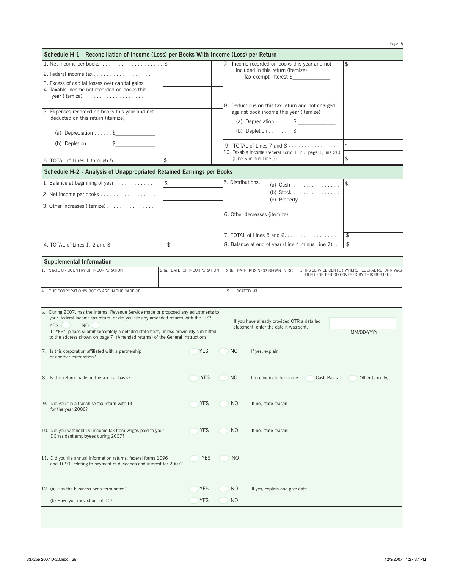| Schedule H-1 - Reconciliation of Income (Loss) per Books With Income (Loss) per Return                                               |                |                             |                                                                |                                                         |                                                         |                                                                                            |  |
|--------------------------------------------------------------------------------------------------------------------------------------|----------------|-----------------------------|----------------------------------------------------------------|---------------------------------------------------------|---------------------------------------------------------|--------------------------------------------------------------------------------------------|--|
|                                                                                                                                      |                |                             |                                                                | 7. Income recorded on books this year and not           |                                                         | \$                                                                                         |  |
| 2. Federal income tax                                                                                                                |                |                             | included in this return (itemize)<br>$Tax-exempt$ interest $$$ |                                                         |                                                         |                                                                                            |  |
| 3. Excess of capital losses over capital gains                                                                                       |                |                             |                                                                |                                                         |                                                         |                                                                                            |  |
| 4. Taxable income not recorded on books this<br>year (itemize) $\ldots \ldots \ldots \ldots$                                         |                |                             |                                                                |                                                         |                                                         |                                                                                            |  |
|                                                                                                                                      |                |                             |                                                                | 8. Deductions on this tax return and not charged        |                                                         |                                                                                            |  |
| 5. Expenses recorded on books this year and not                                                                                      |                |                             |                                                                | against book income this year (itemize)                 |                                                         |                                                                                            |  |
| deducted on this return (itemize)                                                                                                    |                |                             |                                                                |                                                         |                                                         |                                                                                            |  |
| (a) Depreciation \$                                                                                                                  |                |                             |                                                                | (b) Depletion \$                                        |                                                         |                                                                                            |  |
| (b) Depletion $$ \$                                                                                                                  |                |                             |                                                                | 9. TOTAL of Lines 7 and $8 \ldots \ldots \ldots \ldots$ |                                                         | $$\mathfrak{F}$$                                                                           |  |
|                                                                                                                                      |                |                             |                                                                |                                                         | 10. Taxable Income (federal Form 1120, page 1, line 28) |                                                                                            |  |
|                                                                                                                                      |                |                             |                                                                | (Line 6 minus Line 9)                                   |                                                         |                                                                                            |  |
| Schedule H-2 - Analysis of Unappropriated Retained Earnings per Books                                                                |                |                             |                                                                |                                                         |                                                         |                                                                                            |  |
| 1. Balance at beginning of year                                                                                                      | $\mathfrak{L}$ |                             | 5. Distributions:                                              |                                                         | (a) Cash $\ldots \ldots \ldots \ldots$                  | $\sqrt{2}$                                                                                 |  |
| 2. Net income per books                                                                                                              |                |                             |                                                                |                                                         | (b) Stock $\ldots \ldots \ldots \ldots$                 |                                                                                            |  |
| 3. Other increases (itemize)                                                                                                         |                |                             |                                                                |                                                         | $(c)$ Property                                          |                                                                                            |  |
|                                                                                                                                      |                |                             |                                                                | 6. Other decreases (itemize)                            |                                                         |                                                                                            |  |
|                                                                                                                                      |                |                             |                                                                |                                                         |                                                         |                                                                                            |  |
|                                                                                                                                      |                |                             |                                                                |                                                         |                                                         | \$                                                                                         |  |
| 4. TOTAL of Lines 1, 2 and 3                                                                                                         | $\frac{1}{2}$  |                             |                                                                | 8. Balance at end of year (Line 4 minus Line 7). .      |                                                         | \$                                                                                         |  |
|                                                                                                                                      |                |                             |                                                                |                                                         |                                                         |                                                                                            |  |
| <b>Supplemental Information</b>                                                                                                      |                |                             |                                                                |                                                         |                                                         |                                                                                            |  |
| 1. STATE OR COUNTRY OF INCORPORATION                                                                                                 |                | 2.(a) DATE OF INCORPORATION |                                                                | 2.(b) DATE BUSINESS BEGAN IN DC                         |                                                         | 3. IRS SERVICE CENTER WHERE FEDERAL RETURN WAS<br>FILED FOR PERIOD COVERED BY THIS RETURN: |  |
|                                                                                                                                      |                |                             |                                                                |                                                         |                                                         |                                                                                            |  |
| 4. THE CORPORATION'S BOOKS ARE IN THE CARE OF                                                                                        |                |                             | 5. LOCATED AT                                                  |                                                         |                                                         |                                                                                            |  |
|                                                                                                                                      |                |                             |                                                                |                                                         |                                                         |                                                                                            |  |
| 6. During 2007, has the Internal Revenue Service made or proposed any adjustments to                                                 |                |                             |                                                                |                                                         |                                                         |                                                                                            |  |
| your federal income tax return, or did you file any amended returns with the IRS?<br>N <sub>O</sub><br><b>YES</b>                    |                |                             |                                                                | If you have already provided OTR a detailed             |                                                         |                                                                                            |  |
| If "YES", please submit separately a detailed statement, unless previously submitted,                                                |                |                             |                                                                | statement, enter the date it was sent.                  |                                                         | MM/DD/YYYY                                                                                 |  |
| to the address shown on page 7 (Amended returns) of the General Instructions.                                                        |                |                             |                                                                |                                                         |                                                         |                                                                                            |  |
| 7. Is this corporation affiliated with a partnership                                                                                 |                | <b>YES</b>                  | N <sub>O</sub>                                                 | If yes, explain:                                        |                                                         |                                                                                            |  |
| or another corporation?                                                                                                              |                |                             |                                                                |                                                         |                                                         |                                                                                            |  |
|                                                                                                                                      |                |                             |                                                                |                                                         |                                                         |                                                                                            |  |
| 8. Is this return made on the accrual basis?                                                                                         |                | <b>YES</b>                  | NO                                                             | If no, indicate basis used:                             | Cash Basis                                              | Other (specify)                                                                            |  |
|                                                                                                                                      |                |                             |                                                                |                                                         |                                                         |                                                                                            |  |
| 9. Did you file a franchise tax return with DC                                                                                       |                | <b>YES</b>                  | NO.                                                            | If no, state reason                                     |                                                         |                                                                                            |  |
| for the year 2006?                                                                                                                   |                |                             |                                                                |                                                         |                                                         |                                                                                            |  |
|                                                                                                                                      |                |                             |                                                                |                                                         |                                                         |                                                                                            |  |
| 10. Did you withhold DC income tax from wages paid to your                                                                           |                | <b>YES</b>                  | N <sub>O</sub>                                                 | If no, state reason:                                    |                                                         |                                                                                            |  |
| DC resident employees during 2007?                                                                                                   |                |                             |                                                                |                                                         |                                                         |                                                                                            |  |
|                                                                                                                                      |                |                             |                                                                |                                                         |                                                         |                                                                                            |  |
| 11. Did you file annual information returns, federal forms 1096<br>and 1099, relating to payment of dividends and interest for 2007? |                | <b>YES</b>                  | N <sub>O</sub>                                                 |                                                         |                                                         |                                                                                            |  |
|                                                                                                                                      |                |                             |                                                                |                                                         |                                                         |                                                                                            |  |
|                                                                                                                                      |                |                             |                                                                |                                                         |                                                         |                                                                                            |  |
| 12. (a) Has the business been terminated?                                                                                            |                | YES                         | NO                                                             | If yes, explain and give date:                          |                                                         |                                                                                            |  |
| (b) Have you moved out of DC?                                                                                                        |                | <b>YES</b>                  | N <sub>O</sub>                                                 |                                                         |                                                         |                                                                                            |  |
|                                                                                                                                      |                |                             |                                                                |                                                         |                                                         |                                                                                            |  |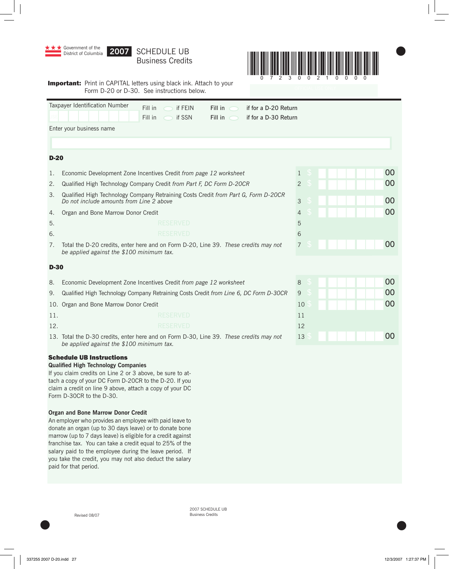

2007 SCHEDULE UB Revised 08/07 Business Credits

 $\bullet$  later than  $\bullet$  later than  $\bullet$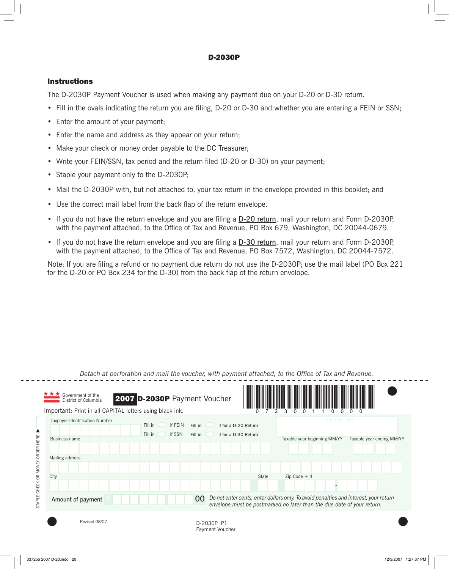# D-2030P

# Instructions

The D-2030P Payment Voucher is used when making any payment due on your D-20 or D-30 return.

- Fill in the ovals indicating the return you are filing, D-20 or D-30 and whether you are entering a FEIN or SSN;
- Enter the amount of your payment;
- Enter the name and address as they appear on your return;
- Make your check or money order payable to the DC Treasurer;
- Write your FEIN/SSN, tax period and the return filed (D-20 or D-30) on your payment;
- Staple your payment only to the D-2030P;
- Mail the D-2030P with, but not attached to, your tax return in the envelope provided in this booklet; and
- Use the correct mail label from the back flap of the return envelope.
- If you do not have the return envelope and you are filing a D-20 return, mail your return and Form D-2030P, with the payment attached, to the Office of Tax and Revenue, PO Box 679, Washington, DC 20044-0679.
- If you do not have the return envelope and you are filing a D-30 return, mail your return and Form D-2030P, with the payment attached, to the Office of Tax and Revenue, PO Box 7572, Washington, DC 20044-7572.

Note: If you are filing a refund or no payment due return do not use the D-2030P; use the mail label (PO Box 221 for the D-20 or PO Box 234 for the D-30) from the back flap of the return envelope.

|                  | Government of the<br>District of Columbia                                                                   | 2007 D-2030P Payment Voucher            |                               |                                              |                                                                                                                                                                |                           |
|------------------|-------------------------------------------------------------------------------------------------------------|-----------------------------------------|-------------------------------|----------------------------------------------|----------------------------------------------------------------------------------------------------------------------------------------------------------------|---------------------------|
|                  | Important: Print in all CAPITAL letters using black ink.<br>Taxpayer Identification Number<br>Business name | if FEIN<br>Fill in<br>if SSN<br>Fill in | Fill in<br>Fill in            | if for a D-20 Return<br>if for a D-30 Return | <b>OFFICIAL USE</b><br>Taxable year beginning MM/YY                                                                                                            | Taxable year ending MM/YY |
| HERE<br>/ ORDER  | Mailing address                                                                                             |                                         |                               |                                              |                                                                                                                                                                |                           |
| OR MONE<br>CHECK | City                                                                                                        |                                         |                               | State                                        | $Zip Code + 4$                                                                                                                                                 |                           |
| STAPLE           | Amount of payment                                                                                           |                                         | 00                            |                                              | Do not enter cents, enter dollars only. To avoid penalties and interest, your return<br>envelope must be postmarked no later than the due date of your return. |                           |
|                  | Revised 08/07                                                                                               |                                         | D-2030P P1<br>Payment Voucher |                                              |                                                                                                                                                                |                           |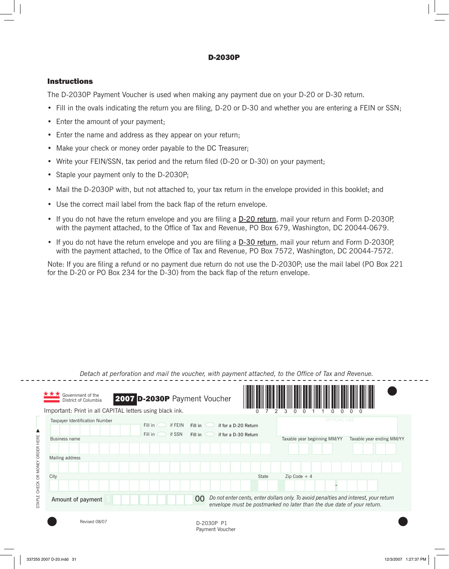# D-2030P

# Instructions

The D-2030P Payment Voucher is used when making any payment due on your D-20 or D-30 return.

- Fill in the ovals indicating the return you are filing, D-20 or D-30 and whether you are entering a FEIN or SSN;
- Enter the amount of your payment;
- Enter the name and address as they appear on your return;
- Make your check or money order payable to the DC Treasurer;
- Write your FEIN/SSN, tax period and the return filed (D-20 or D-30) on your payment;
- Staple your payment only to the D-2030P;
- Mail the D-2030P with, but not attached to, your tax return in the envelope provided in this booklet; and
- Use the correct mail label from the back flap of the return envelope.
- If you do not have the return envelope and you are filing a D-20 return, mail your return and Form D-2030P, with the payment attached, to the Office of Tax and Revenue, PO Box 679, Washington, DC 20044-0679.
- If you do not have the return envelope and you are filing a D-30 return, mail your return and Form D-2030P, with the payment attached, to the Office of Tax and Revenue, PO Box 7572, Washington, DC 20044-7572.

Note: If you are filing a refund or no payment due return do not use the D-2030P; use the mail label (PO Box 221 for the D-20 or PO Box 234 for the D-30) from the back flap of the return envelope.

|                  | Government of the<br>District of Columbia                                                                   | 2007 D-2030P Payment Voucher            |                               |                                              |                                                                                                                                                                |                           |
|------------------|-------------------------------------------------------------------------------------------------------------|-----------------------------------------|-------------------------------|----------------------------------------------|----------------------------------------------------------------------------------------------------------------------------------------------------------------|---------------------------|
|                  | Important: Print in all CAPITAL letters using black ink.<br>Taxpayer Identification Number<br>Business name | if FEIN<br>Fill in<br>if SSN<br>Fill in | Fill in<br>Fill in            | if for a D-20 Return<br>if for a D-30 Return | <b>OFFICIAL USE</b><br>Taxable year beginning MM/YY                                                                                                            | Taxable year ending MM/YY |
| HERE<br>/ ORDER  | Mailing address                                                                                             |                                         |                               |                                              |                                                                                                                                                                |                           |
| OR MONE<br>CHECK | City                                                                                                        |                                         |                               | State                                        | $Zip Code + 4$                                                                                                                                                 |                           |
| STAPLE           | Amount of payment                                                                                           |                                         | 00                            |                                              | Do not enter cents, enter dollars only. To avoid penalties and interest, your return<br>envelope must be postmarked no later than the due date of your return. |                           |
|                  | Revised 08/07                                                                                               |                                         | D-2030P P1<br>Payment Voucher |                                              |                                                                                                                                                                |                           |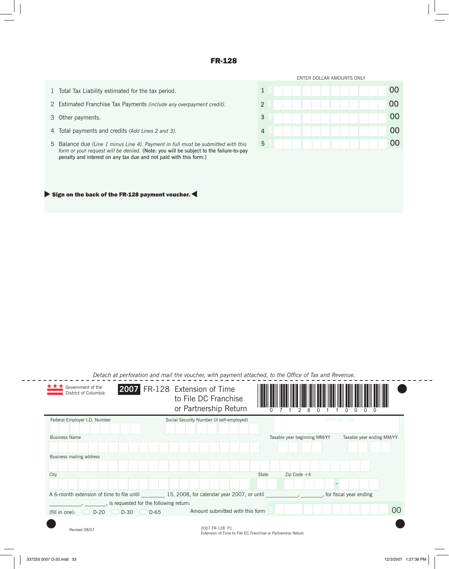## FR-128

- 1 Total Tax Liability estimated for the tax period.
- 2 Estimated Franchise Tax Payments *(include any overpayment credit).*
- 3 Other payments.
- 4 Total payments and credits *(Add Lines 2 and 3).*
- 5 Balance due *(Line 1 minus Line 4). Payment in full must be submitted with this form or your request will be denied.* (Note: you will be subject to the failure-to-pay penalty and interest on any tax due and not paid with this form.)



#### $\blacktriangleright$  Sign on the back of the FR-128 payment voucher.

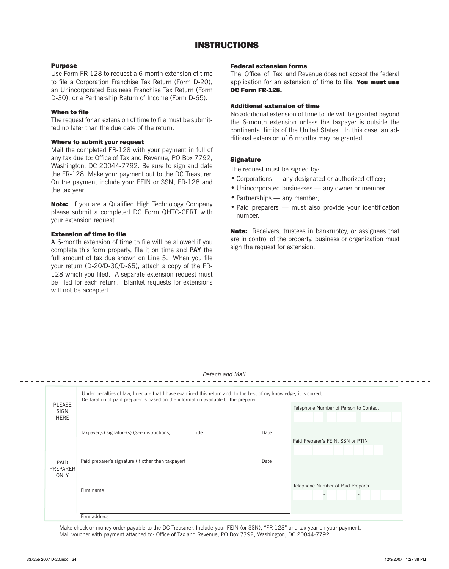# INSTRUCTIONS

#### Purpose

Use Form FR-128 to request a 6-month extension of time to file a Corporation Franchise Tax Return (Form D-20), an Unincorporated Business Franchise Tax Return (Form D-30), or a Partnership Return of Income (Form D-65).

#### When to file

The request for an extension of time to file must be submitted no later than the due date of the return.

#### Where to submit your request

Mail the completed FR-128 with your payment in full of any tax due to: Office of Tax and Revenue, PO Box 7792, Washington, DC 20044-7792. Be sure to sign and date the FR-128. Make your payment out to the DC Treasurer. On the payment include your FEIN or SSN, FR-128 and the tax year.

**Note:** If you are a Qualified High Technology Company please submit a completed DC Form QHTC-CERT with your extension request.

#### Extension of time to file

A 6-month extension of time to file will be allowed if you complete this form properly, file it on time and **PAY** the full amount of tax due shown on Line 5. When you file your return (D-20/D-30/D-65), attach a copy of the FR-128 which you filed. A separate extension request must be filed for each return. Blanket requests for extensions will not be accepted.

#### Federal extension forms

The Office of Tax and Revenue does not accept the federal application for an extension of time to file. You must use DC Form FR-128

#### Additional extension of time

No additional extension of time to file will be granted beyond the 6-month extension unless the taxpayer is outside the continental limits of the United States. In this case, an additional extension of 6 months may be granted.

#### **Signature**

The request must be signed by:

- Corporations any designated or authorized officer;
- Unincorporated businesses any owner or member;
- Partnerships any member;
- Paid preparers must also provide your identification number.

Note: Receivers, trustees in bankruptcy, or assignees that are in control of the property, business or organization must sign the request for extension.

|                                      | Under penalties of law, I declare that I have examined this return and, to the best of my knowledge, it is correct.<br>Declaration of paid preparer is based on the information available to the preparer. |      |                                       |  |  |  |  |
|--------------------------------------|------------------------------------------------------------------------------------------------------------------------------------------------------------------------------------------------------------|------|---------------------------------------|--|--|--|--|
| <b>PLEASE</b><br>SIGN<br><b>HERE</b> |                                                                                                                                                                                                            |      | Telephone Number of Person to Contact |  |  |  |  |
|                                      | Taxpayer(s) signature(s) (See instructions)<br>Title                                                                                                                                                       | Date |                                       |  |  |  |  |
|                                      |                                                                                                                                                                                                            |      | Paid Preparer's FEIN, SSN or PTIN     |  |  |  |  |
|                                      |                                                                                                                                                                                                            |      |                                       |  |  |  |  |
| PAID<br>PREPARER<br>ONLY             | Paid preparer's signature (If other than taxpayer)                                                                                                                                                         | Date |                                       |  |  |  |  |
|                                      |                                                                                                                                                                                                            |      | Telephone Number of Paid Preparer     |  |  |  |  |
|                                      | Firm name                                                                                                                                                                                                  |      |                                       |  |  |  |  |
|                                      |                                                                                                                                                                                                            |      |                                       |  |  |  |  |
|                                      | Firm address                                                                                                                                                                                               |      |                                       |  |  |  |  |

Make check or money order payable to the DC Treasurer. Include your FEIN (or SSN), "FR-128" and tax year on your payment. Mail voucher with payment attached to: Office of Tax and Revenue, PO Box 7792, Washington, DC 20044-7792.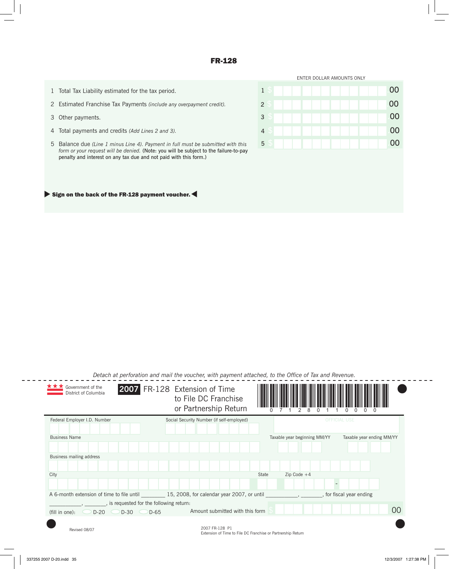## FR-128

- 1 Total Tax Liability estimated for the tax period.
- 2 Estimated Franchise Tax Payments *(include any overpayment credit).*
- 3 Other payments.
- 4 Total payments and credits *(Add Lines 2 and 3).*
- 5 Balance due *(Line 1 minus Line 4). Payment in full must be submitted with this form or your request will be denied.* (Note: you will be subject to the failure-to-pay penalty and interest on any tax due and not paid with this form.)



#### $\blacktriangleright$  Sign on the back of the FR-128 payment voucher.

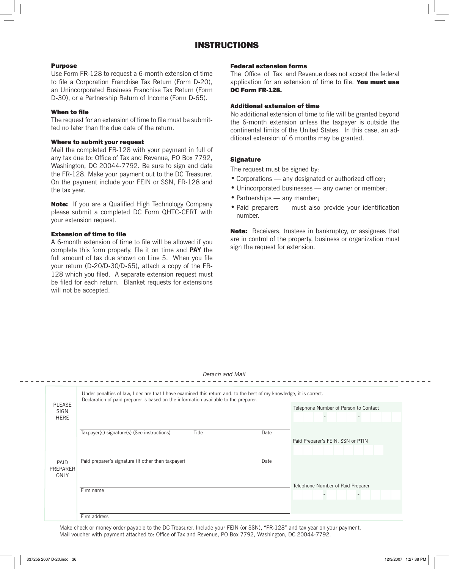# INSTRUCTIONS

#### Purpose

Use Form FR-128 to request a 6-month extension of time to file a Corporation Franchise Tax Return (Form D-20), an Unincorporated Business Franchise Tax Return (Form D-30), or a Partnership Return of Income (Form D-65).

#### When to file

The request for an extension of time to file must be submitted no later than the due date of the return.

#### Where to submit your request

Mail the completed FR-128 with your payment in full of any tax due to: Office of Tax and Revenue, PO Box 7792, Washington, DC 20044-7792. Be sure to sign and date the FR-128. Make your payment out to the DC Treasurer. On the payment include your FEIN or SSN, FR-128 and the tax year.

**Note:** If you are a Qualified High Technology Company please submit a completed DC Form QHTC-CERT with your extension request.

#### Extension of time to file

A 6-month extension of time to file will be allowed if you complete this form properly, file it on time and **PAY** the full amount of tax due shown on Line 5. When you file your return (D-20/D-30/D-65), attach a copy of the FR-128 which you filed. A separate extension request must be filed for each return. Blanket requests for extensions will not be accepted.

#### Federal extension forms

The Office of Tax and Revenue does not accept the federal application for an extension of time to file. You must use DC Form FR-128

#### Additional extension of time

No additional extension of time to file will be granted beyond the 6-month extension unless the taxpayer is outside the continental limits of the United States. In this case, an additional extension of 6 months may be granted.

#### **Signature**

The request must be signed by:

- Corporations any designated or authorized officer;
- Unincorporated businesses any owner or member;
- Partnerships any member;
- Paid preparers must also provide your identification number.

Note: Receivers, trustees in bankruptcy, or assignees that are in control of the property, business or organization must sign the request for extension.

|                                      | Under penalties of law, I declare that I have examined this return and, to the best of my knowledge, it is correct.<br>Declaration of paid preparer is based on the information available to the preparer. |      |                                       |  |  |  |  |
|--------------------------------------|------------------------------------------------------------------------------------------------------------------------------------------------------------------------------------------------------------|------|---------------------------------------|--|--|--|--|
| <b>PLEASE</b><br>SIGN<br><b>HERE</b> |                                                                                                                                                                                                            |      | Telephone Number of Person to Contact |  |  |  |  |
|                                      | Taxpayer(s) signature(s) (See instructions)<br>Title                                                                                                                                                       | Date |                                       |  |  |  |  |
|                                      |                                                                                                                                                                                                            |      | Paid Preparer's FEIN, SSN or PTIN     |  |  |  |  |
|                                      |                                                                                                                                                                                                            |      |                                       |  |  |  |  |
| PAID<br>PREPARER<br>ONLY             | Paid preparer's signature (If other than taxpayer)                                                                                                                                                         | Date |                                       |  |  |  |  |
|                                      |                                                                                                                                                                                                            |      | Telephone Number of Paid Preparer     |  |  |  |  |
|                                      | Firm name                                                                                                                                                                                                  |      |                                       |  |  |  |  |
|                                      |                                                                                                                                                                                                            |      |                                       |  |  |  |  |
|                                      | Firm address                                                                                                                                                                                               |      |                                       |  |  |  |  |

Make check or money order payable to the DC Treasurer. Include your FEIN (or SSN), "FR-128" and tax year on your payment. Mail voucher with payment attached to: Office of Tax and Revenue, PO Box 7792, Washington, DC 20044-7792.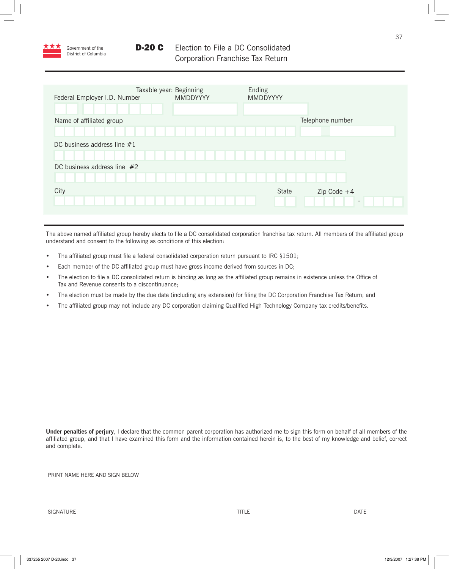

| Federal Employer I.D. Number  | Taxable year: Beginning<br><b>MMDDYYYY</b> | Ending<br>MMDDYYYY |                  |
|-------------------------------|--------------------------------------------|--------------------|------------------|
|                               |                                            |                    |                  |
| Name of affiliated group      |                                            |                    | Telephone number |
|                               |                                            |                    |                  |
| DC business address line $#1$ |                                            |                    |                  |
|                               |                                            |                    |                  |
| DC business address line $#2$ |                                            |                    |                  |
|                               |                                            |                    |                  |
| City                          |                                            | State              | Zip Code $+4$    |
|                               |                                            |                    |                  |
|                               |                                            |                    |                  |

The above named affiliated group hereby elects to file a DC consolidated corporation franchise tax return. All members of the affiliated group understand and consent to the following as conditions of this election:

- The affiliated group must file a federal consolidated corporation return pursuant to IRC §1501;
- Each member of the DC affiliated group must have gross income derived from sources in DC;
- The election to file a DC consolidated return is binding as long as the affiliated group remains in existence unless the Office of Tax and Revenue consents to a discontinuance;
- The election must be made by the due date (including any extension) for filing the DC Corporation Franchise Tax Return; and
- The affiliated group may not include any DC corporation claiming Qualified High Technology Company tax credits/benefits.

**Under penalties of perjury**, I declare that the common parent corporation has authorized me to sign this form on behalf of all members of the affiliated group, and that I have examined this form and the information contained herein is, to the best of my knowledge and belief, correct and complete.

PRINT NAME HERE AND SIGN BELOW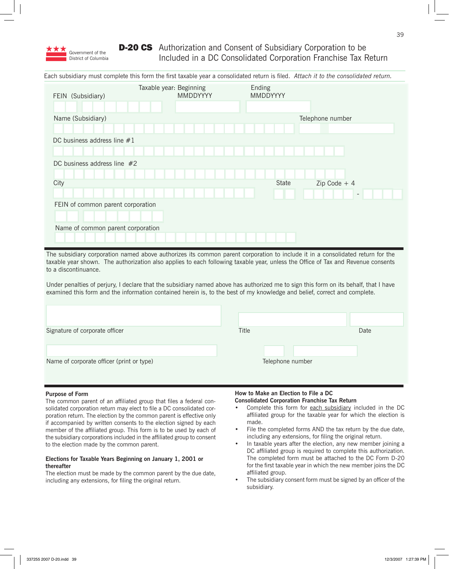

# **D-20 CS** Authorization and Consent of Subsidiary Corporation to be Included in a DC Consolidated Corporation Franchise Tax Return

Each subsidiary must complete this form the first taxable year a consolidated return is filed. *Attach it to the consolidated return.*

| FEIN (Subsidiary)                 | Taxable year: Beginning | <b>MMDDYYYY</b> |  | Ending | <b>MMDDYYYY</b> |              |                  |  |  |
|-----------------------------------|-------------------------|-----------------|--|--------|-----------------|--------------|------------------|--|--|
| Name (Subsidiary)                 |                         |                 |  |        |                 |              | Telephone number |  |  |
|                                   |                         |                 |  |        |                 |              |                  |  |  |
| DC business address line $#1$     |                         |                 |  |        |                 |              |                  |  |  |
|                                   |                         |                 |  |        |                 |              |                  |  |  |
| DC business address line $#2$     |                         |                 |  |        |                 |              |                  |  |  |
|                                   |                         |                 |  |        |                 |              |                  |  |  |
| City                              |                         |                 |  |        |                 | <b>State</b> | $Zip Code + 4$   |  |  |
|                                   |                         |                 |  |        |                 |              |                  |  |  |
| FEIN of common parent corporation |                         |                 |  |        |                 |              |                  |  |  |
|                                   |                         |                 |  |        |                 |              |                  |  |  |
| Name of common parent corporation |                         |                 |  |        |                 |              |                  |  |  |
|                                   |                         |                 |  |        |                 |              |                  |  |  |

The subsidiary corporation named above authorizes its common parent corporation to include it in a consolidated return for the taxable year shown. The authorization also applies to each following taxable year, unless the Office of Tax and Revenue consents to a discontinuance.

Under penalties of perjury, I declare that the subsidiary named above has authorized me to sign this form on its behalf, that I have examined this form and the information contained herein is, to the best of my knowledge and belief, correct and complete.

| Signature of corporate officer            | Title            | Date |
|-------------------------------------------|------------------|------|
|                                           |                  |      |
| Name of corporate officer (print or type) | Telephone number |      |

#### **Purpose of Form**

The common parent of an affiliated group that files a federal consolidated corporation return may elect to file a DC consolidated corporation return. The election by the common parent is effective only if accompanied by written consents to the election signed by each member of the affiliated group. This form is to be used by each of the subsidiary corporations included in the affiliated group to consent to the election made by the common parent.

#### **Elections for Taxable Years Beginning on January 1, 2001 or thereafter**

The election must be made by the common parent by the due date, including any extensions, for filing the original return.

#### **How to Make an Election to File a DC Consolidated Corporation Franchise Tax Return**

- Complete this form for each subsidiary included in the DC affiliated group for the taxable year for which the election is made.
- File the completed forms AND the tax return by the due date, including any extensions, for filing the original return.
- In taxable years after the election, any new member joining a DC affiliated group is required to complete this authorization. The completed form must be attached to the DC Form D-20 for the first taxable year in which the new member joins the DC affiliated group.
- The subsidiary consent form must be signed by an officer of the subsidiary.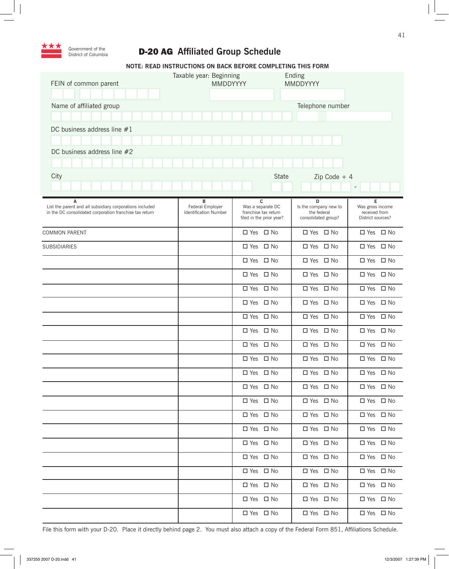

# D-20 AG **Affiliated Group Schedule**

|                                                                                                                          | NOTE: READ INSTRUCTIONS ON BACK BEFORE COMPLETING THIS FORM |                                                                            |                                                                  |                                                             |
|--------------------------------------------------------------------------------------------------------------------------|-------------------------------------------------------------|----------------------------------------------------------------------------|------------------------------------------------------------------|-------------------------------------------------------------|
| FEIN of common parent                                                                                                    | Taxable year: Beginning<br>MMDDYYYY                         |                                                                            | Ending<br>MMDDYYYY                                               |                                                             |
|                                                                                                                          |                                                             |                                                                            |                                                                  |                                                             |
| Name of affiliated group                                                                                                 |                                                             |                                                                            | Telephone number                                                 |                                                             |
|                                                                                                                          |                                                             |                                                                            |                                                                  |                                                             |
| DC business address line $#1$                                                                                            |                                                             |                                                                            |                                                                  |                                                             |
|                                                                                                                          |                                                             |                                                                            |                                                                  |                                                             |
| DC business address line #2                                                                                              |                                                             |                                                                            |                                                                  |                                                             |
| City                                                                                                                     |                                                             | <b>State</b>                                                               | $Zip Code + 4$                                                   |                                                             |
|                                                                                                                          |                                                             |                                                                            |                                                                  | $\overline{\phantom{a}}$                                    |
|                                                                                                                          |                                                             |                                                                            |                                                                  |                                                             |
| A<br>List the parent and all subsidiary corporations included<br>in the DC consolidated corporation franchise tax return | в<br>Federal Employer<br><b>Identification Number</b>       | c<br>Was a separate DC<br>franchise tax return<br>filed in the prior year? | D<br>Is the company new to<br>the federal<br>consolidated group? | Е<br>Was gross income<br>received from<br>District sources? |
| <b>COMMON PARENT</b>                                                                                                     |                                                             | □ Yes □ No                                                                 | $\Box$ Yes $\Box$ No                                             | □ Yes □ No                                                  |
| <b>SUBSIDIARIES</b>                                                                                                      |                                                             | □ Yes □ No                                                                 | □ Yes □ No                                                       | □ Yes □ No                                                  |
|                                                                                                                          |                                                             | $\Box$ Yes $\Box$ No                                                       | □ Yes □ No                                                       | □ Yes □ No                                                  |
|                                                                                                                          |                                                             | □ Yes □ No                                                                 | □ Yes □ No                                                       | □ Yes □ No                                                  |
|                                                                                                                          |                                                             | □ Yes □ No                                                                 | □ Yes □ No                                                       | □ Yes □ No                                                  |
|                                                                                                                          |                                                             | □ Yes □ No                                                                 | □ Yes □ No                                                       | □ Yes □ No                                                  |
|                                                                                                                          |                                                             | □ Yes □ No                                                                 | □ Yes □ No                                                       | □ Yes □ No                                                  |
|                                                                                                                          |                                                             | □ Yes □ No                                                                 | $\Box$ Yes $\Box$ No                                             | $\Box$ Yes $\Box$ No                                        |
|                                                                                                                          |                                                             | □ Yes □ No                                                                 | □ Yes □ No                                                       | □ Yes □ No                                                  |
|                                                                                                                          |                                                             | □ Yes □ No                                                                 | □ Yes □ No                                                       | □ Yes □ No                                                  |
|                                                                                                                          |                                                             | □ Yes □ No                                                                 | □ Yes □ No                                                       | □ Yes □ No                                                  |
|                                                                                                                          |                                                             | □ Yes □ No                                                                 | □ Yes □ No                                                       | □ Yes □ No                                                  |
|                                                                                                                          |                                                             | □ Yes □ No                                                                 | $\Box$ Yes $\Box$ No                                             | □ Yes □ No                                                  |
|                                                                                                                          |                                                             | □ Yes □ No                                                                 | □ Yes □ No                                                       | □ Yes □ No                                                  |
|                                                                                                                          |                                                             | □ Yes □ No                                                                 | □ Yes □ No                                                       | □ Yes □ No                                                  |
|                                                                                                                          |                                                             | □ Yes □ No                                                                 | $\Box$ Yes $\Box$ No                                             | □ Yes □ No                                                  |
|                                                                                                                          |                                                             | □ Yes □ No                                                                 | $\Box$ Yes $\Box$ No                                             | $\square$ Yes $\square$ No                                  |
|                                                                                                                          |                                                             | □ Yes □ No                                                                 | $\Box$ Yes $\Box$ No                                             | □ Yes □ No                                                  |
|                                                                                                                          |                                                             | □ Yes □ No                                                                 | □ Yes □ No                                                       | □ Yes □ No                                                  |
|                                                                                                                          |                                                             | □ Yes □ No                                                                 | □ Yes □ No                                                       | □ Yes □ No                                                  |
|                                                                                                                          |                                                             | □ Yes □ No                                                                 | $\Box$ Yes $\Box$ No                                             | $\Box$ Yes $\Box$ No                                        |

File this form with your D-20. Place it directly behind page 2. You must also attach a copy of the Federal Form 851, Affiliations Schedule.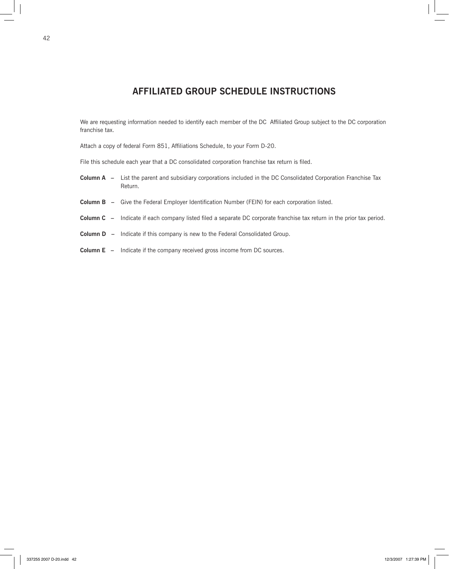# **AFFILIATED GROUP SCHEDULE INSTRUCTIONS**

We are requesting information needed to identify each member of the DC Affiliated Group subject to the DC corporation franchise tax.

Attach a copy of federal Form 851, Affiliations Schedule, to your Form D-20.

File this schedule each year that a DC consolidated corporation franchise tax return is filed.

- **Column A –** List the parent and subsidiary corporations included in the DC Consolidated Corporation Franchise Tax Return.
- **Column B –** Give the Federal Employer Identification Number (FEIN) for each corporation listed.
- **Column C –** Indicate if each company listed filed a separate DC corporate franchise tax return in the prior tax period.
- **Column D** Indicate if this company is new to the Federal Consolidated Group.
- **Column E** Indicate if the company received gross income from DC sources.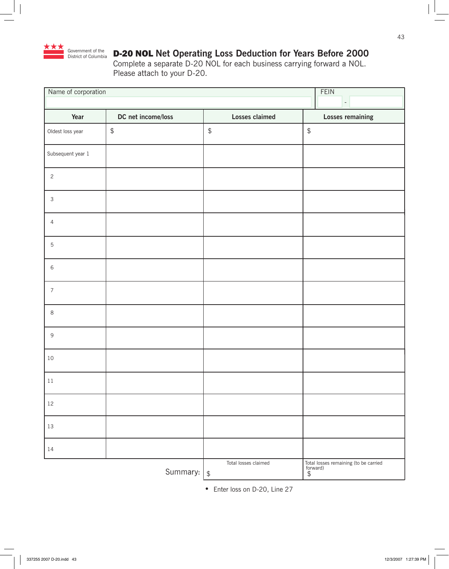

# D-20 NOL **Net Operating Loss Deduction for Years Before 2000**

Complete a separate D-20 NOL for each business carrying forward a NOL. Please attach to your D-20.

| Name of corporation | <b>FEIN</b>                                             |                                        |                                                          |
|---------------------|---------------------------------------------------------|----------------------------------------|----------------------------------------------------------|
|                     |                                                         |                                        | $\bar{\gamma}$                                           |
| Year                | DC net income/loss                                      | <b>Losses claimed</b>                  | <b>Losses remaining</b>                                  |
| Oldest loss year    | $\, \, \raisebox{-1.5pt}{\ensuremath{\mathfrak{sp}}\,}$ | $\updownarrow$                         | $\, \, \mathbb{S} \,$                                    |
| Subsequent year 1   |                                                         |                                        |                                                          |
| $\overline{c}$      |                                                         |                                        |                                                          |
| $\mathsf 3$         |                                                         |                                        |                                                          |
| $\overline{4}$      |                                                         |                                        |                                                          |
| $\mathbf 5$         |                                                         |                                        |                                                          |
| $\,$ 6 $\,$         |                                                         |                                        |                                                          |
| $\boldsymbol{7}$    |                                                         |                                        |                                                          |
| $\,8\,$             |                                                         |                                        |                                                          |
| $\mathsf g$         |                                                         |                                        |                                                          |
| 10                  |                                                         |                                        |                                                          |
| $11\,$              |                                                         |                                        |                                                          |
| $12\,$              |                                                         |                                        |                                                          |
| $13\,$              |                                                         |                                        |                                                          |
| 14                  |                                                         |                                        |                                                          |
|                     | Summary:                                                | Total losses claimed<br>$\updownarrow$ | Total losses remaining (to be carried<br>forward)<br>$$$ |

**•** Enter loss on D-20, Line 27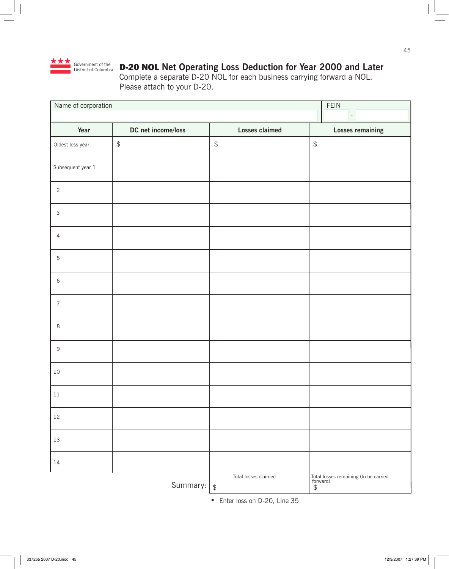

# D-20 NOL **Net Operating Loss Deduction for Year 2000 and Later**

Complete a separate D-20 NOL for each business carrying forward a NOL. Please attach to your D-20.

| Name of corporation       | FEIN                     |                                           |                                                          |
|---------------------------|--------------------------|-------------------------------------------|----------------------------------------------------------|
|                           | $\overline{\phantom{a}}$ |                                           |                                                          |
| Year                      | DC net income/loss       | <b>Losses claimed</b>                     | <b>Losses remaining</b>                                  |
| Oldest loss year          | $\updownarrow$           | $\, \, \raisebox{12pt}{$\scriptstyle \$}$ | $\, \, \mathbb{S} \,$                                    |
| Subsequent year 1         |                          |                                           |                                                          |
| $\overline{c}$            |                          |                                           |                                                          |
| $\ensuremath{\mathsf{3}}$ |                          |                                           |                                                          |
| $\overline{4}$            |                          |                                           |                                                          |
| $\mathbf 5$               |                          |                                           |                                                          |
| $\,$ 6 $\,$               |                          |                                           |                                                          |
| $\overline{7}$            |                          |                                           |                                                          |
| 8                         |                          |                                           |                                                          |
| $\mathsf g$               |                          |                                           |                                                          |
| $10\,$                    |                          |                                           |                                                          |
| $11\,$                    |                          |                                           |                                                          |
| $12\,$                    |                          |                                           |                                                          |
| 13                        |                          |                                           |                                                          |
| $14\,$                    |                          |                                           |                                                          |
|                           | Summary:                 | Total losses claimed<br>$\updownarrow$    | Total losses remaining (to be carried<br>forward)<br>$$$ |

**•** Enter loss on D-20, Line 35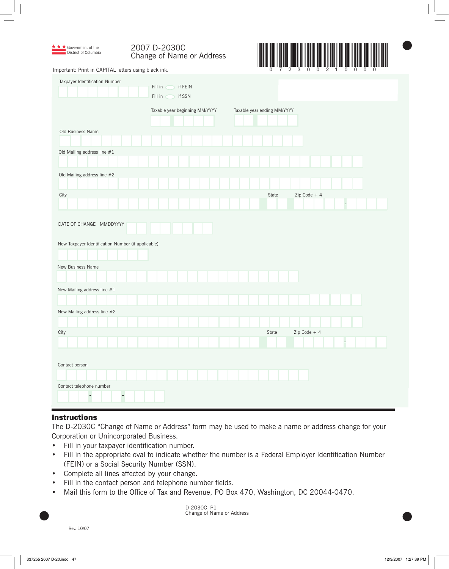| 2007 D-2030C              |
|---------------------------|
| Change of Name or Address |



 $\bullet$ 

Important: Print in CAPITAL letters using black ink.

★ **★** Government of the District of Columbia

| Taxpayer Identification Number                                                                     | if FEIN<br>Fill in<br>Fill in<br>if SSN<br>- 71 |                             |               |
|----------------------------------------------------------------------------------------------------|-------------------------------------------------|-----------------------------|---------------|
|                                                                                                    | Taxable year beginning MM/YYYY                  | Taxable year ending MM/YYYY |               |
| Old Business Name                                                                                  |                                                 |                             |               |
|                                                                                                    |                                                 |                             |               |
| Old Mailing address line $#1$                                                                      |                                                 |                             |               |
|                                                                                                    |                                                 |                             |               |
| Old Mailing address line #2                                                                        |                                                 |                             |               |
| City                                                                                               |                                                 | State                       | Zip Code $+4$ |
|                                                                                                    |                                                 |                             | F             |
| DATE OF CHANGE MMDDYYYY<br>New Taxpayer Identification Number (if applicable)<br>New Business Name |                                                 |                             |               |
|                                                                                                    |                                                 |                             |               |
| New Mailing address line $#1$                                                                      |                                                 |                             |               |
|                                                                                                    |                                                 |                             |               |
| New Mailing address line #2                                                                        |                                                 |                             |               |
|                                                                                                    |                                                 |                             |               |
| City                                                                                               |                                                 | State                       | Zip Code + 4  |
|                                                                                                    |                                                 |                             |               |
| Contact person                                                                                     |                                                 |                             |               |
|                                                                                                    |                                                 |                             |               |
| Contact telephone number<br>$\overline{\phantom{a}}$<br>$\overline{\phantom{a}}$                   |                                                 |                             |               |

### **Instructions**

The D-2030C "Change of Name or Address" form may be used to make a name or address change for your Corporation or Unincorporated Business.

- Fill in your taxpayer identification number. •
- Fill in the appropriate oval to indicate whether the number is a Federal Employer Identification Number (FEIN) or a Social Security Number (SSN).  $\bullet$
- Complete all lines affected by your change. •
- Fill in the contact person and telephone number fields.  $\bullet$
- Mail this form to the Office of Tax and Revenue, PO Box 470, Washington, DC 20044-0470. •